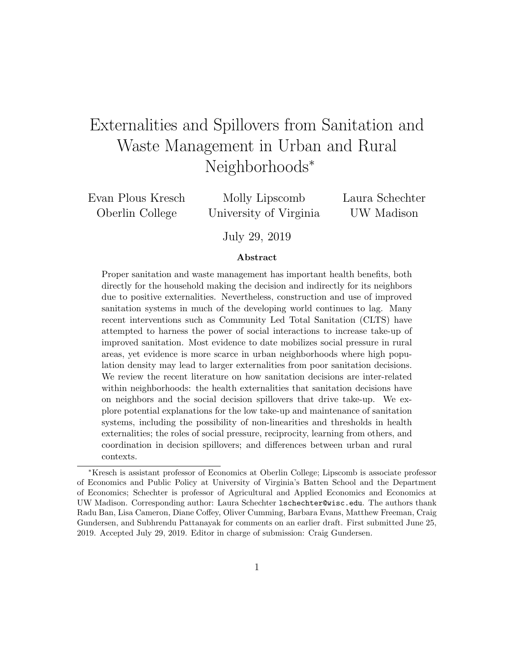# Externalities and Spillovers from Sanitation and Waste Management in Urban and Rural Neighborhoods<sup>∗</sup>

Evan Plous Kresch Oberlin College

Molly Lipscomb University of Virginia Laura Schechter UW Madison

July 29, 2019

#### Abstract

Proper sanitation and waste management has important health benefits, both directly for the household making the decision and indirectly for its neighbors due to positive externalities. Nevertheless, construction and use of improved sanitation systems in much of the developing world continues to lag. Many recent interventions such as Community Led Total Sanitation (CLTS) have attempted to harness the power of social interactions to increase take-up of improved sanitation. Most evidence to date mobilizes social pressure in rural areas, yet evidence is more scarce in urban neighborhoods where high population density may lead to larger externalities from poor sanitation decisions. We review the recent literature on how sanitation decisions are inter-related within neighborhoods: the health externalities that sanitation decisions have on neighbors and the social decision spillovers that drive take-up. We explore potential explanations for the low take-up and maintenance of sanitation systems, including the possibility of non-linearities and thresholds in health externalities; the roles of social pressure, reciprocity, learning from others, and coordination in decision spillovers; and differences between urban and rural contexts.

<sup>∗</sup>Kresch is assistant professor of Economics at Oberlin College; Lipscomb is associate professor of Economics and Public Policy at University of Virginia's Batten School and the Department of Economics; Schechter is professor of Agricultural and Applied Economics and Economics at UW Madison. Corresponding author: Laura Schechter lschechter@wisc.edu. The authors thank Radu Ban, Lisa Cameron, Diane Coffey, Oliver Cumming, Barbara Evans, Matthew Freeman, Craig Gundersen, and Subhrendu Pattanayak for comments on an earlier draft. First submitted June 25, 2019. Accepted July 29, 2019. Editor in charge of submission: Craig Gundersen.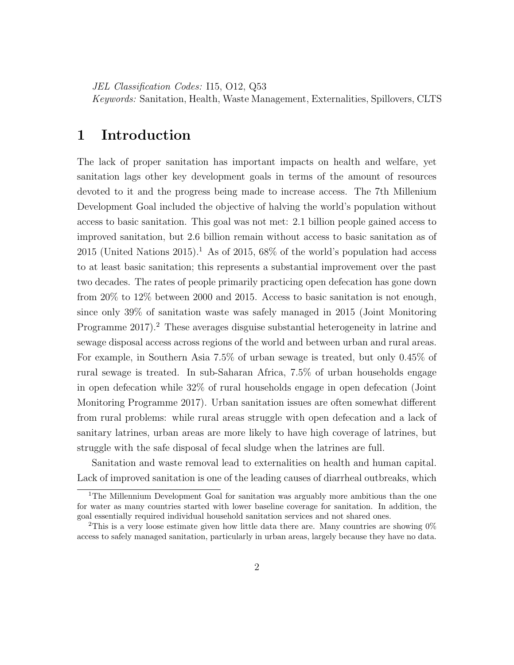JEL Classification Codes: I15, O12, Q53 Keywords: Sanitation, Health, Waste Management, Externalities, Spillovers, CLTS

## 1 Introduction

The lack of proper sanitation has important impacts on health and welfare, yet sanitation lags other key development goals in terms of the amount of resources devoted to it and the progress being made to increase access. The 7th Millenium Development Goal included the objective of halving the world's population without access to basic sanitation. This goal was not met: 2.1 billion people gained access to improved sanitation, but 2.6 billion remain without access to basic sanitation as of 2015 (United Nations 2015).<sup>1</sup> As of 2015, 68% of the world's population had access to at least basic sanitation; this represents a substantial improvement over the past two decades. The rates of people primarily practicing open defecation has gone down from 20% to 12% between 2000 and 2015. Access to basic sanitation is not enough, since only 39% of sanitation waste was safely managed in 2015 (Joint Monitoring Programme 2017).<sup>2</sup> These averages disguise substantial heterogeneity in latrine and sewage disposal access across regions of the world and between urban and rural areas. For example, in Southern Asia 7.5% of urban sewage is treated, but only 0.45% of rural sewage is treated. In sub-Saharan Africa, 7.5% of urban households engage in open defecation while 32% of rural households engage in open defecation (Joint Monitoring Programme 2017). Urban sanitation issues are often somewhat different from rural problems: while rural areas struggle with open defecation and a lack of sanitary latrines, urban areas are more likely to have high coverage of latrines, but struggle with the safe disposal of fecal sludge when the latrines are full.

Sanitation and waste removal lead to externalities on health and human capital. Lack of improved sanitation is one of the leading causes of diarrheal outbreaks, which

<sup>&</sup>lt;sup>1</sup>The Millennium Development Goal for sanitation was arguably more ambitious than the one for water as many countries started with lower baseline coverage for sanitation. In addition, the goal essentially required individual household sanitation services and not shared ones.

<sup>&</sup>lt;sup>2</sup>This is a very loose estimate given how little data there are. Many countries are showing  $0\%$ access to safely managed sanitation, particularly in urban areas, largely because they have no data.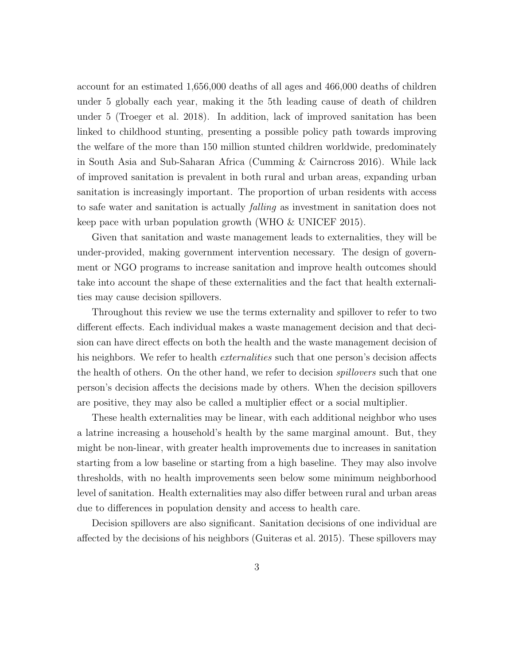account for an estimated 1,656,000 deaths of all ages and 466,000 deaths of children under 5 globally each year, making it the 5th leading cause of death of children under 5 (Troeger et al. 2018). In addition, lack of improved sanitation has been linked to childhood stunting, presenting a possible policy path towards improving the welfare of the more than 150 million stunted children worldwide, predominately in South Asia and Sub-Saharan Africa (Cumming & Cairncross 2016). While lack of improved sanitation is prevalent in both rural and urban areas, expanding urban sanitation is increasingly important. The proportion of urban residents with access to safe water and sanitation is actually falling as investment in sanitation does not keep pace with urban population growth (WHO & UNICEF 2015).

Given that sanitation and waste management leads to externalities, they will be under-provided, making government intervention necessary. The design of government or NGO programs to increase sanitation and improve health outcomes should take into account the shape of these externalities and the fact that health externalities may cause decision spillovers.

Throughout this review we use the terms externality and spillover to refer to two different effects. Each individual makes a waste management decision and that decision can have direct effects on both the health and the waste management decision of his neighbors. We refer to health *externalities* such that one person's decision affects the health of others. On the other hand, we refer to decision *spillovers* such that one person's decision affects the decisions made by others. When the decision spillovers are positive, they may also be called a multiplier effect or a social multiplier.

These health externalities may be linear, with each additional neighbor who uses a latrine increasing a household's health by the same marginal amount. But, they might be non-linear, with greater health improvements due to increases in sanitation starting from a low baseline or starting from a high baseline. They may also involve thresholds, with no health improvements seen below some minimum neighborhood level of sanitation. Health externalities may also differ between rural and urban areas due to differences in population density and access to health care.

Decision spillovers are also significant. Sanitation decisions of one individual are affected by the decisions of his neighbors (Guiteras et al. 2015). These spillovers may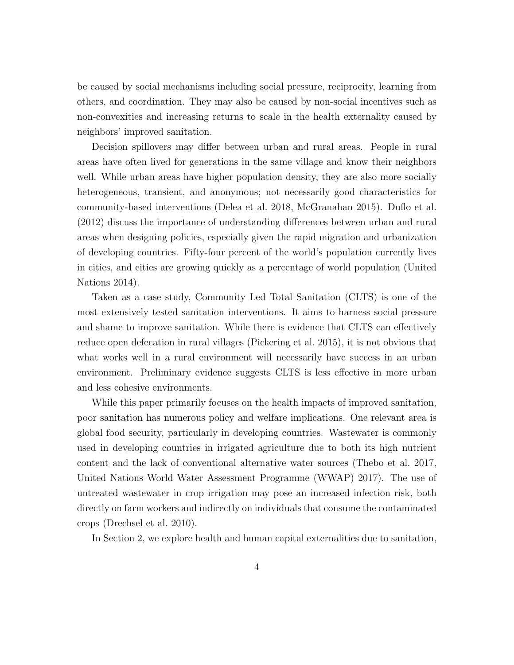be caused by social mechanisms including social pressure, reciprocity, learning from others, and coordination. They may also be caused by non-social incentives such as non-convexities and increasing returns to scale in the health externality caused by neighbors' improved sanitation.

Decision spillovers may differ between urban and rural areas. People in rural areas have often lived for generations in the same village and know their neighbors well. While urban areas have higher population density, they are also more socially heterogeneous, transient, and anonymous; not necessarily good characteristics for community-based interventions (Delea et al. 2018, McGranahan 2015). Duflo et al. (2012) discuss the importance of understanding differences between urban and rural areas when designing policies, especially given the rapid migration and urbanization of developing countries. Fifty-four percent of the world's population currently lives in cities, and cities are growing quickly as a percentage of world population (United Nations 2014).

Taken as a case study, Community Led Total Sanitation (CLTS) is one of the most extensively tested sanitation interventions. It aims to harness social pressure and shame to improve sanitation. While there is evidence that CLTS can effectively reduce open defecation in rural villages (Pickering et al. 2015), it is not obvious that what works well in a rural environment will necessarily have success in an urban environment. Preliminary evidence suggests CLTS is less effective in more urban and less cohesive environments.

While this paper primarily focuses on the health impacts of improved sanitation, poor sanitation has numerous policy and welfare implications. One relevant area is global food security, particularly in developing countries. Wastewater is commonly used in developing countries in irrigated agriculture due to both its high nutrient content and the lack of conventional alternative water sources (Thebo et al. 2017, United Nations World Water Assessment Programme (WWAP) 2017). The use of untreated wastewater in crop irrigation may pose an increased infection risk, both directly on farm workers and indirectly on individuals that consume the contaminated crops (Drechsel et al. 2010).

In Section 2, we explore health and human capital externalities due to sanitation,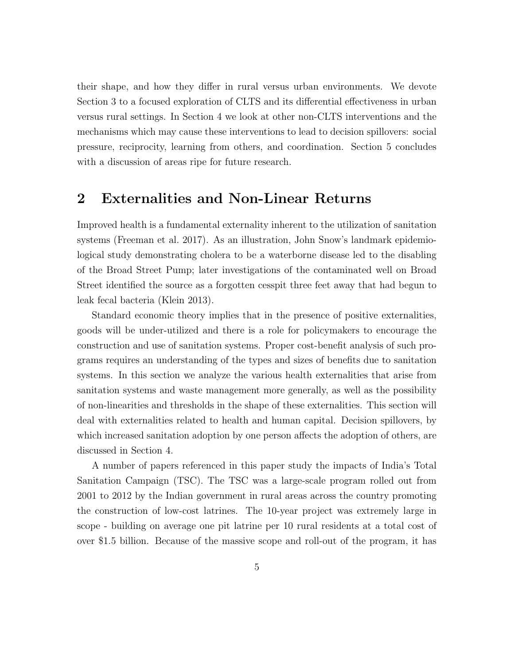their shape, and how they differ in rural versus urban environments. We devote Section 3 to a focused exploration of CLTS and its differential effectiveness in urban versus rural settings. In Section 4 we look at other non-CLTS interventions and the mechanisms which may cause these interventions to lead to decision spillovers: social pressure, reciprocity, learning from others, and coordination. Section 5 concludes with a discussion of areas ripe for future research.

### 2 Externalities and Non-Linear Returns

Improved health is a fundamental externality inherent to the utilization of sanitation systems (Freeman et al. 2017). As an illustration, John Snow's landmark epidemiological study demonstrating cholera to be a waterborne disease led to the disabling of the Broad Street Pump; later investigations of the contaminated well on Broad Street identified the source as a forgotten cesspit three feet away that had begun to leak fecal bacteria (Klein 2013).

Standard economic theory implies that in the presence of positive externalities, goods will be under-utilized and there is a role for policymakers to encourage the construction and use of sanitation systems. Proper cost-benefit analysis of such programs requires an understanding of the types and sizes of benefits due to sanitation systems. In this section we analyze the various health externalities that arise from sanitation systems and waste management more generally, as well as the possibility of non-linearities and thresholds in the shape of these externalities. This section will deal with externalities related to health and human capital. Decision spillovers, by which increased sanitation adoption by one person affects the adoption of others, are discussed in Section 4.

A number of papers referenced in this paper study the impacts of India's Total Sanitation Campaign (TSC). The TSC was a large-scale program rolled out from 2001 to 2012 by the Indian government in rural areas across the country promoting the construction of low-cost latrines. The 10-year project was extremely large in scope - building on average one pit latrine per 10 rural residents at a total cost of over \$1.5 billion. Because of the massive scope and roll-out of the program, it has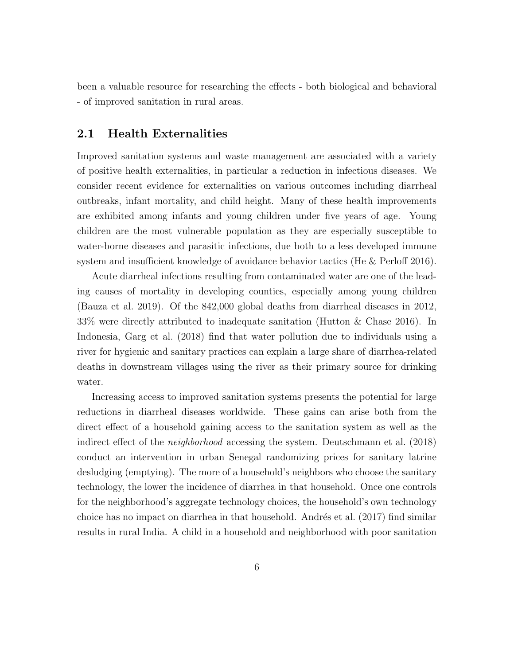been a valuable resource for researching the effects - both biological and behavioral - of improved sanitation in rural areas.

#### 2.1 Health Externalities

Improved sanitation systems and waste management are associated with a variety of positive health externalities, in particular a reduction in infectious diseases. We consider recent evidence for externalities on various outcomes including diarrheal outbreaks, infant mortality, and child height. Many of these health improvements are exhibited among infants and young children under five years of age. Young children are the most vulnerable population as they are especially susceptible to water-borne diseases and parasitic infections, due both to a less developed immune system and insufficient knowledge of avoidance behavior tactics (He & Perloff 2016).

Acute diarrheal infections resulting from contaminated water are one of the leading causes of mortality in developing counties, especially among young children (Bauza et al. 2019). Of the 842,000 global deaths from diarrheal diseases in 2012, 33% were directly attributed to inadequate sanitation (Hutton & Chase 2016). In Indonesia, Garg et al. (2018) find that water pollution due to individuals using a river for hygienic and sanitary practices can explain a large share of diarrhea-related deaths in downstream villages using the river as their primary source for drinking water.

Increasing access to improved sanitation systems presents the potential for large reductions in diarrheal diseases worldwide. These gains can arise both from the direct effect of a household gaining access to the sanitation system as well as the indirect effect of the neighborhood accessing the system. Deutschmann et al. (2018) conduct an intervention in urban Senegal randomizing prices for sanitary latrine desludging (emptying). The more of a household's neighbors who choose the sanitary technology, the lower the incidence of diarrhea in that household. Once one controls for the neighborhood's aggregate technology choices, the household's own technology choice has no impact on diarrhea in that household. Andrés et al. (2017) find similar results in rural India. A child in a household and neighborhood with poor sanitation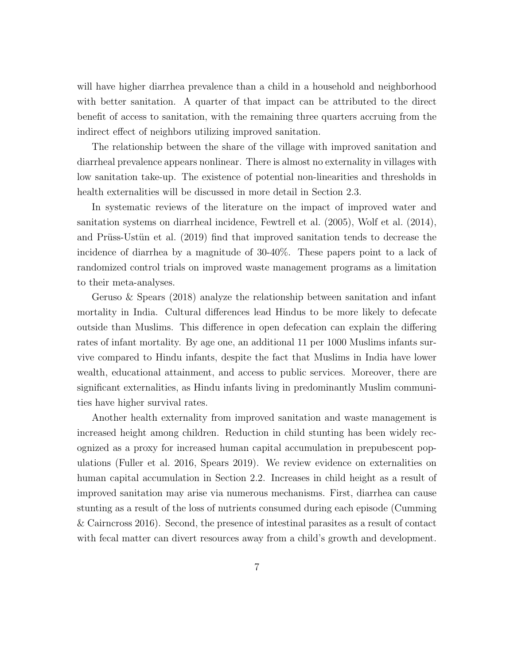will have higher diarrhea prevalence than a child in a household and neighborhood with better sanitation. A quarter of that impact can be attributed to the direct benefit of access to sanitation, with the remaining three quarters accruing from the indirect effect of neighbors utilizing improved sanitation.

The relationship between the share of the village with improved sanitation and diarrheal prevalence appears nonlinear. There is almost no externality in villages with low sanitation take-up. The existence of potential non-linearities and thresholds in health externalities will be discussed in more detail in Section 2.3.

In systematic reviews of the literature on the impact of improved water and sanitation systems on diarrheal incidence, Fewtrell et al. (2005), Wolf et al. (2014), and Prüss-Ustün et al. (2019) find that improved sanitation tends to decrease the incidence of diarrhea by a magnitude of 30-40%. These papers point to a lack of randomized control trials on improved waste management programs as a limitation to their meta-analyses.

Geruso & Spears (2018) analyze the relationship between sanitation and infant mortality in India. Cultural differences lead Hindus to be more likely to defecate outside than Muslims. This difference in open defecation can explain the differing rates of infant mortality. By age one, an additional 11 per 1000 Muslims infants survive compared to Hindu infants, despite the fact that Muslims in India have lower wealth, educational attainment, and access to public services. Moreover, there are significant externalities, as Hindu infants living in predominantly Muslim communities have higher survival rates.

Another health externality from improved sanitation and waste management is increased height among children. Reduction in child stunting has been widely recognized as a proxy for increased human capital accumulation in prepubescent populations (Fuller et al. 2016, Spears 2019). We review evidence on externalities on human capital accumulation in Section 2.2. Increases in child height as a result of improved sanitation may arise via numerous mechanisms. First, diarrhea can cause stunting as a result of the loss of nutrients consumed during each episode (Cumming & Cairncross 2016). Second, the presence of intestinal parasites as a result of contact with fecal matter can divert resources away from a child's growth and development.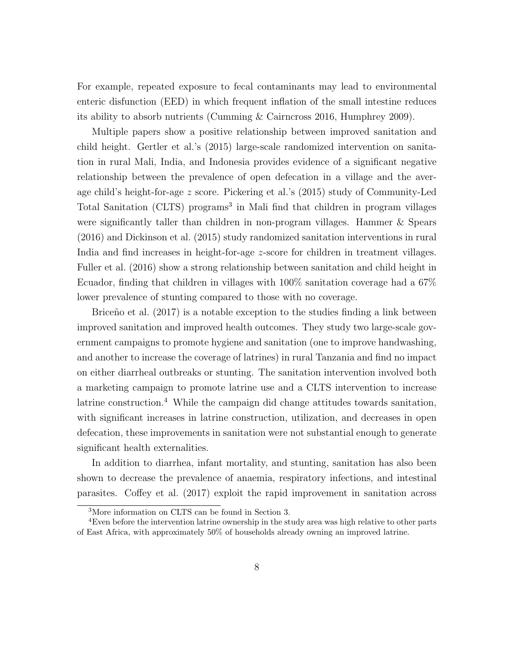For example, repeated exposure to fecal contaminants may lead to environmental enteric disfunction (EED) in which frequent inflation of the small intestine reduces its ability to absorb nutrients (Cumming & Cairncross 2016, Humphrey 2009).

Multiple papers show a positive relationship between improved sanitation and child height. Gertler et al.'s (2015) large-scale randomized intervention on sanitation in rural Mali, India, and Indonesia provides evidence of a significant negative relationship between the prevalence of open defecation in a village and the average child's height-for-age z score. Pickering et al.'s (2015) study of Community-Led Total Sanitation (CLTS) programs<sup>3</sup> in Mali find that children in program villages were significantly taller than children in non-program villages. Hammer & Spears (2016) and Dickinson et al. (2015) study randomized sanitation interventions in rural India and find increases in height-for-age z-score for children in treatment villages. Fuller et al. (2016) show a strong relationship between sanitation and child height in Ecuador, finding that children in villages with 100% sanitation coverage had a 67% lower prevalence of stunting compared to those with no coverage.

Briceño et al. (2017) is a notable exception to the studies finding a link between improved sanitation and improved health outcomes. They study two large-scale government campaigns to promote hygiene and sanitation (one to improve handwashing, and another to increase the coverage of latrines) in rural Tanzania and find no impact on either diarrheal outbreaks or stunting. The sanitation intervention involved both a marketing campaign to promote latrine use and a CLTS intervention to increase  $l$ atrine construction.<sup>4</sup> While the campaign did change attitudes towards sanitation, with significant increases in latrine construction, utilization, and decreases in open defecation, these improvements in sanitation were not substantial enough to generate significant health externalities.

In addition to diarrhea, infant mortality, and stunting, sanitation has also been shown to decrease the prevalence of anaemia, respiratory infections, and intestinal parasites. Coffey et al. (2017) exploit the rapid improvement in sanitation across

<sup>3</sup>More information on CLTS can be found in Section 3.

<sup>4</sup>Even before the intervention latrine ownership in the study area was high relative to other parts of East Africa, with approximately 50% of households already owning an improved latrine.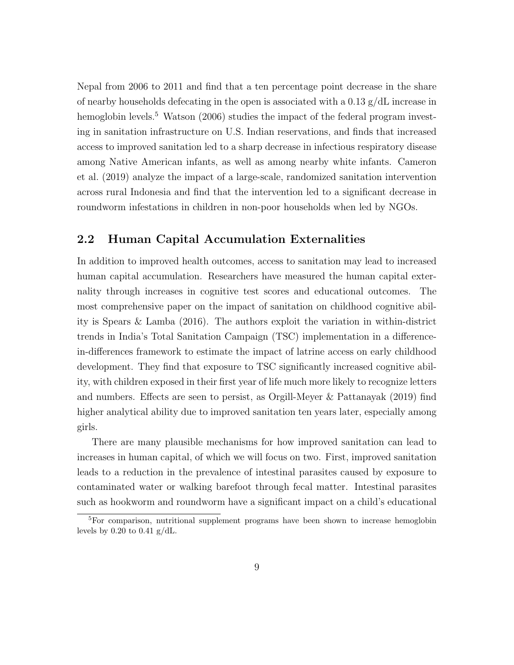Nepal from 2006 to 2011 and find that a ten percentage point decrease in the share of nearby households defecating in the open is associated with a  $0.13 \text{ g}/d\text{L}$  increase in hemoglobin levels.<sup>5</sup> Watson  $(2006)$  studies the impact of the federal program investing in sanitation infrastructure on U.S. Indian reservations, and finds that increased access to improved sanitation led to a sharp decrease in infectious respiratory disease among Native American infants, as well as among nearby white infants. Cameron et al. (2019) analyze the impact of a large-scale, randomized sanitation intervention across rural Indonesia and find that the intervention led to a significant decrease in roundworm infestations in children in non-poor households when led by NGOs.

### 2.2 Human Capital Accumulation Externalities

In addition to improved health outcomes, access to sanitation may lead to increased human capital accumulation. Researchers have measured the human capital externality through increases in cognitive test scores and educational outcomes. The most comprehensive paper on the impact of sanitation on childhood cognitive ability is Spears & Lamba (2016). The authors exploit the variation in within-district trends in India's Total Sanitation Campaign (TSC) implementation in a differencein-differences framework to estimate the impact of latrine access on early childhood development. They find that exposure to TSC significantly increased cognitive ability, with children exposed in their first year of life much more likely to recognize letters and numbers. Effects are seen to persist, as Orgill-Meyer & Pattanayak (2019) find higher analytical ability due to improved sanitation ten years later, especially among girls.

There are many plausible mechanisms for how improved sanitation can lead to increases in human capital, of which we will focus on two. First, improved sanitation leads to a reduction in the prevalence of intestinal parasites caused by exposure to contaminated water or walking barefoot through fecal matter. Intestinal parasites such as hookworm and roundworm have a significant impact on a child's educational

<sup>&</sup>lt;sup>5</sup>For comparison, nutritional supplement programs have been shown to increase hemoglobin levels by  $0.20$  to  $0.41$  g/dL.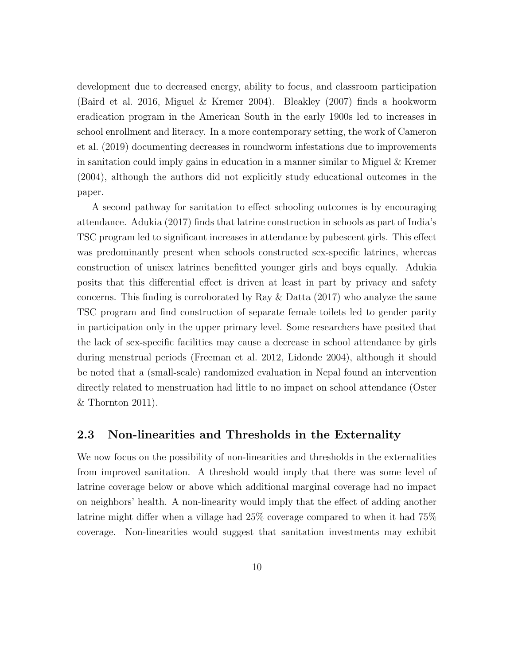development due to decreased energy, ability to focus, and classroom participation (Baird et al. 2016, Miguel & Kremer 2004). Bleakley (2007) finds a hookworm eradication program in the American South in the early 1900s led to increases in school enrollment and literacy. In a more contemporary setting, the work of Cameron et al. (2019) documenting decreases in roundworm infestations due to improvements in sanitation could imply gains in education in a manner similar to Miguel & Kremer (2004), although the authors did not explicitly study educational outcomes in the paper.

A second pathway for sanitation to effect schooling outcomes is by encouraging attendance. Adukia (2017) finds that latrine construction in schools as part of India's TSC program led to significant increases in attendance by pubescent girls. This effect was predominantly present when schools constructed sex-specific latrines, whereas construction of unisex latrines benefitted younger girls and boys equally. Adukia posits that this differential effect is driven at least in part by privacy and safety concerns. This finding is corroborated by Ray & Datta (2017) who analyze the same TSC program and find construction of separate female toilets led to gender parity in participation only in the upper primary level. Some researchers have posited that the lack of sex-specific facilities may cause a decrease in school attendance by girls during menstrual periods (Freeman et al. 2012, Lidonde 2004), although it should be noted that a (small-scale) randomized evaluation in Nepal found an intervention directly related to menstruation had little to no impact on school attendance (Oster  $&$  Thornton 2011).

### 2.3 Non-linearities and Thresholds in the Externality

We now focus on the possibility of non-linearities and thresholds in the externalities from improved sanitation. A threshold would imply that there was some level of latrine coverage below or above which additional marginal coverage had no impact on neighbors' health. A non-linearity would imply that the effect of adding another latrine might differ when a village had 25% coverage compared to when it had 75% coverage. Non-linearities would suggest that sanitation investments may exhibit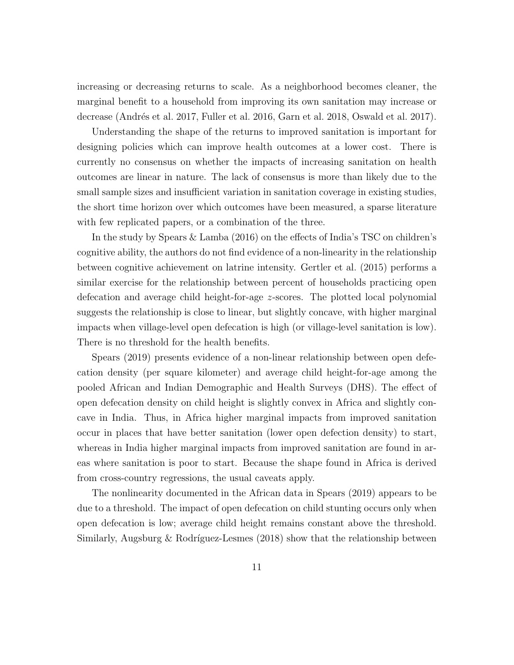increasing or decreasing returns to scale. As a neighborhood becomes cleaner, the marginal benefit to a household from improving its own sanitation may increase or decrease (Andrés et al. 2017, Fuller et al. 2016, Garn et al. 2018, Oswald et al. 2017).

Understanding the shape of the returns to improved sanitation is important for designing policies which can improve health outcomes at a lower cost. There is currently no consensus on whether the impacts of increasing sanitation on health outcomes are linear in nature. The lack of consensus is more than likely due to the small sample sizes and insufficient variation in sanitation coverage in existing studies, the short time horizon over which outcomes have been measured, a sparse literature with few replicated papers, or a combination of the three.

In the study by Spears & Lamba (2016) on the effects of India's TSC on children's cognitive ability, the authors do not find evidence of a non-linearity in the relationship between cognitive achievement on latrine intensity. Gertler et al. (2015) performs a similar exercise for the relationship between percent of households practicing open defecation and average child height-for-age z-scores. The plotted local polynomial suggests the relationship is close to linear, but slightly concave, with higher marginal impacts when village-level open defecation is high (or village-level sanitation is low). There is no threshold for the health benefits.

Spears (2019) presents evidence of a non-linear relationship between open defecation density (per square kilometer) and average child height-for-age among the pooled African and Indian Demographic and Health Surveys (DHS). The effect of open defecation density on child height is slightly convex in Africa and slightly concave in India. Thus, in Africa higher marginal impacts from improved sanitation occur in places that have better sanitation (lower open defection density) to start, whereas in India higher marginal impacts from improved sanitation are found in areas where sanitation is poor to start. Because the shape found in Africa is derived from cross-country regressions, the usual caveats apply.

The nonlinearity documented in the African data in Spears (2019) appears to be due to a threshold. The impact of open defecation on child stunting occurs only when open defecation is low; average child height remains constant above the threshold. Similarly, Augsburg & Rodríguez-Lesmes  $(2018)$  show that the relationship between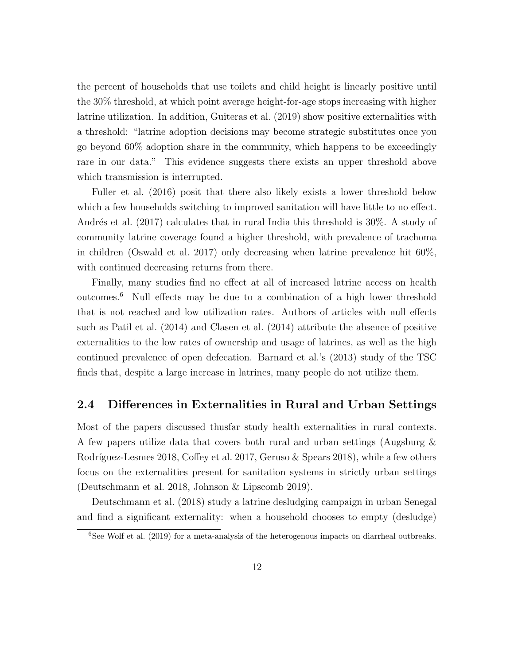the percent of households that use toilets and child height is linearly positive until the 30% threshold, at which point average height-for-age stops increasing with higher latrine utilization. In addition, Guiteras et al. (2019) show positive externalities with a threshold: "latrine adoption decisions may become strategic substitutes once you go beyond 60% adoption share in the community, which happens to be exceedingly rare in our data." This evidence suggests there exists an upper threshold above which transmission is interrupted.

Fuller et al. (2016) posit that there also likely exists a lower threshold below which a few households switching to improved sanitation will have little to no effect. Andrés et al.  $(2017)$  calculates that in rural India this threshold is 30%. A study of community latrine coverage found a higher threshold, with prevalence of trachoma in children (Oswald et al. 2017) only decreasing when latrine prevalence hit  $60\%$ , with continued decreasing returns from there.

Finally, many studies find no effect at all of increased latrine access on health outcomes.<sup>6</sup> Null effects may be due to a combination of a high lower threshold that is not reached and low utilization rates. Authors of articles with null effects such as Patil et al. (2014) and Clasen et al. (2014) attribute the absence of positive externalities to the low rates of ownership and usage of latrines, as well as the high continued prevalence of open defecation. Barnard et al.'s (2013) study of the TSC finds that, despite a large increase in latrines, many people do not utilize them.

#### 2.4 Differences in Externalities in Rural and Urban Settings

Most of the papers discussed thusfar study health externalities in rural contexts. A few papers utilize data that covers both rural and urban settings (Augsburg & Rodríguez-Lesmes 2018, Coffey et al. 2017, Geruso & Spears 2018), while a few others focus on the externalities present for sanitation systems in strictly urban settings (Deutschmann et al. 2018, Johnson & Lipscomb 2019).

Deutschmann et al. (2018) study a latrine desludging campaign in urban Senegal and find a significant externality: when a household chooses to empty (desludge)

 ${}^{6}$ See Wolf et al. (2019) for a meta-analysis of the heterogenous impacts on diarrheal outbreaks.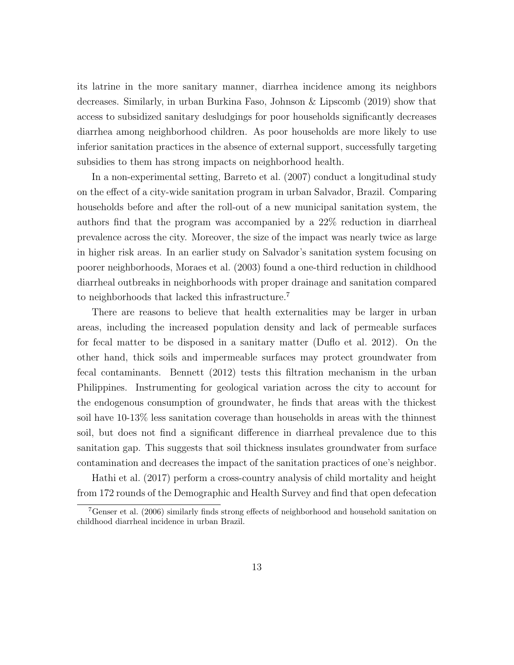its latrine in the more sanitary manner, diarrhea incidence among its neighbors decreases. Similarly, in urban Burkina Faso, Johnson & Lipscomb (2019) show that access to subsidized sanitary desludgings for poor households significantly decreases diarrhea among neighborhood children. As poor households are more likely to use inferior sanitation practices in the absence of external support, successfully targeting subsidies to them has strong impacts on neighborhood health.

In a non-experimental setting, Barreto et al. (2007) conduct a longitudinal study on the effect of a city-wide sanitation program in urban Salvador, Brazil. Comparing households before and after the roll-out of a new municipal sanitation system, the authors find that the program was accompanied by a 22% reduction in diarrheal prevalence across the city. Moreover, the size of the impact was nearly twice as large in higher risk areas. In an earlier study on Salvador's sanitation system focusing on poorer neighborhoods, Moraes et al. (2003) found a one-third reduction in childhood diarrheal outbreaks in neighborhoods with proper drainage and sanitation compared to neighborhoods that lacked this infrastructure.<sup>7</sup>

There are reasons to believe that health externalities may be larger in urban areas, including the increased population density and lack of permeable surfaces for fecal matter to be disposed in a sanitary matter (Duflo et al. 2012). On the other hand, thick soils and impermeable surfaces may protect groundwater from fecal contaminants. Bennett (2012) tests this filtration mechanism in the urban Philippines. Instrumenting for geological variation across the city to account for the endogenous consumption of groundwater, he finds that areas with the thickest soil have 10-13% less sanitation coverage than households in areas with the thinnest soil, but does not find a significant difference in diarrheal prevalence due to this sanitation gap. This suggests that soil thickness insulates groundwater from surface contamination and decreases the impact of the sanitation practices of one's neighbor.

Hathi et al. (2017) perform a cross-country analysis of child mortality and height from 172 rounds of the Demographic and Health Survey and find that open defecation

<sup>7</sup>Genser et al. (2006) similarly finds strong effects of neighborhood and household sanitation on childhood diarrheal incidence in urban Brazil.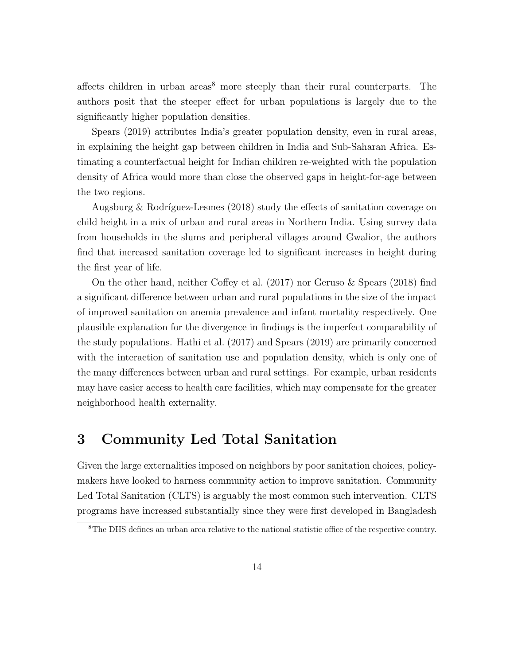affects children in urban areas<sup>8</sup> more steeply than their rural counterparts. The authors posit that the steeper effect for urban populations is largely due to the significantly higher population densities.

Spears (2019) attributes India's greater population density, even in rural areas, in explaining the height gap between children in India and Sub-Saharan Africa. Estimating a counterfactual height for Indian children re-weighted with the population density of Africa would more than close the observed gaps in height-for-age between the two regions.

Augsburg  $&$  Rodríguez-Lesmes (2018) study the effects of sanitation coverage on child height in a mix of urban and rural areas in Northern India. Using survey data from households in the slums and peripheral villages around Gwalior, the authors find that increased sanitation coverage led to significant increases in height during the first year of life.

On the other hand, neither Coffey et al. (2017) nor Geruso & Spears (2018) find a significant difference between urban and rural populations in the size of the impact of improved sanitation on anemia prevalence and infant mortality respectively. One plausible explanation for the divergence in findings is the imperfect comparability of the study populations. Hathi et al. (2017) and Spears (2019) are primarily concerned with the interaction of sanitation use and population density, which is only one of the many differences between urban and rural settings. For example, urban residents may have easier access to health care facilities, which may compensate for the greater neighborhood health externality.

### 3 Community Led Total Sanitation

Given the large externalities imposed on neighbors by poor sanitation choices, policymakers have looked to harness community action to improve sanitation. Community Led Total Sanitation (CLTS) is arguably the most common such intervention. CLTS programs have increased substantially since they were first developed in Bangladesh

<sup>&</sup>lt;sup>8</sup>The DHS defines an urban area relative to the national statistic office of the respective country.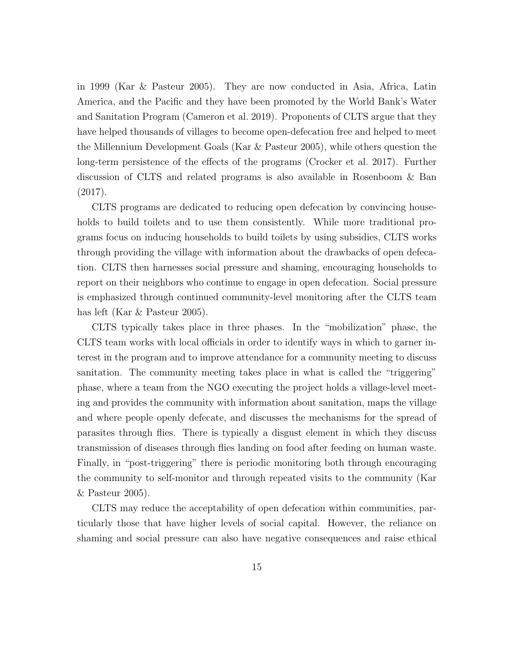in 1999 (Kar & Pasteur 2005). They are now conducted in Asia, Africa, Latin America, and the Pacific and they have been promoted by the World Bank's Water and Sanitation Program (Cameron et al. 2019). Proponents of CLTS argue that they have helped thousands of villages to become open-defecation free and helped to meet the Millennium Development Goals (Kar & Pasteur 2005), while others question the long-term persistence of the effects of the programs (Crocker et al. 2017). Further discussion of CLTS and related programs is also available in Rosenboom & Ban (2017).

CLTS programs are dedicated to reducing open defecation by convincing households to build toilets and to use them consistently. While more traditional programs focus on inducing households to build toilets by using subsidies, CLTS works through providing the village with information about the drawbacks of open defecation. CLTS then harnesses social pressure and shaming, encouraging households to report on their neighbors who continue to engage in open defecation. Social pressure is emphasized through continued community-level monitoring after the CLTS team has left (Kar & Pasteur 2005).

CLTS typically takes place in three phases. In the "mobilization" phase, the CLTS team works with local officials in order to identify ways in which to garner interest in the program and to improve attendance for a community meeting to discuss sanitation. The community meeting takes place in what is called the "triggering" phase, where a team from the NGO executing the project holds a village-level meeting and provides the community with information about sanitation, maps the village and where people openly defecate, and discusses the mechanisms for the spread of parasites through flies. There is typically a disgust element in which they discuss transmission of diseases through flies landing on food after feeding on human waste. Finally, in "post-triggering" there is periodic monitoring both through encouraging the community to self-monitor and through repeated visits to the community (Kar & Pasteur 2005).

CLTS may reduce the acceptability of open defecation within communities, particularly those that have higher levels of social capital. However, the reliance on shaming and social pressure can also have negative consequences and raise ethical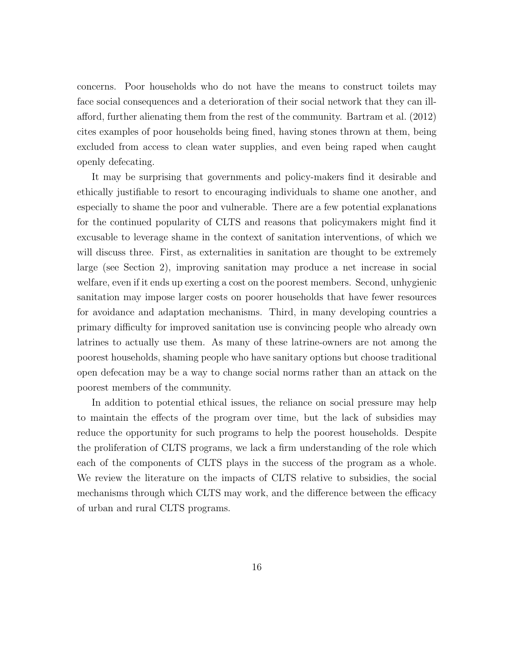concerns. Poor households who do not have the means to construct toilets may face social consequences and a deterioration of their social network that they can illafford, further alienating them from the rest of the community. Bartram et al. (2012) cites examples of poor households being fined, having stones thrown at them, being excluded from access to clean water supplies, and even being raped when caught openly defecating.

It may be surprising that governments and policy-makers find it desirable and ethically justifiable to resort to encouraging individuals to shame one another, and especially to shame the poor and vulnerable. There are a few potential explanations for the continued popularity of CLTS and reasons that policymakers might find it excusable to leverage shame in the context of sanitation interventions, of which we will discuss three. First, as externalities in sanitation are thought to be extremely large (see Section 2), improving sanitation may produce a net increase in social welfare, even if it ends up exerting a cost on the poorest members. Second, unhygienic sanitation may impose larger costs on poorer households that have fewer resources for avoidance and adaptation mechanisms. Third, in many developing countries a primary difficulty for improved sanitation use is convincing people who already own latrines to actually use them. As many of these latrine-owners are not among the poorest households, shaming people who have sanitary options but choose traditional open defecation may be a way to change social norms rather than an attack on the poorest members of the community.

In addition to potential ethical issues, the reliance on social pressure may help to maintain the effects of the program over time, but the lack of subsidies may reduce the opportunity for such programs to help the poorest households. Despite the proliferation of CLTS programs, we lack a firm understanding of the role which each of the components of CLTS plays in the success of the program as a whole. We review the literature on the impacts of CLTS relative to subsidies, the social mechanisms through which CLTS may work, and the difference between the efficacy of urban and rural CLTS programs.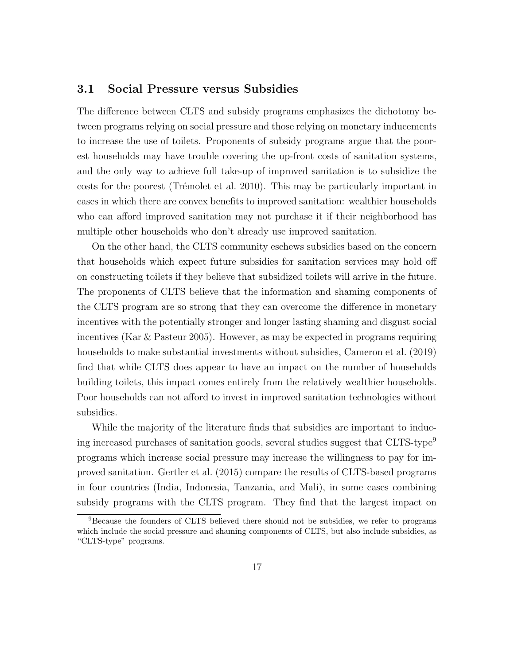#### 3.1 Social Pressure versus Subsidies

The difference between CLTS and subsidy programs emphasizes the dichotomy between programs relying on social pressure and those relying on monetary inducements to increase the use of toilets. Proponents of subsidy programs argue that the poorest households may have trouble covering the up-front costs of sanitation systems, and the only way to achieve full take-up of improved sanitation is to subsidize the costs for the poorest (Trémolet et al. 2010). This may be particularly important in cases in which there are convex benefits to improved sanitation: wealthier households who can afford improved sanitation may not purchase it if their neighborhood has multiple other households who don't already use improved sanitation.

On the other hand, the CLTS community eschews subsidies based on the concern that households which expect future subsidies for sanitation services may hold off on constructing toilets if they believe that subsidized toilets will arrive in the future. The proponents of CLTS believe that the information and shaming components of the CLTS program are so strong that they can overcome the difference in monetary incentives with the potentially stronger and longer lasting shaming and disgust social incentives (Kar & Pasteur 2005). However, as may be expected in programs requiring households to make substantial investments without subsidies, Cameron et al. (2019) find that while CLTS does appear to have an impact on the number of households building toilets, this impact comes entirely from the relatively wealthier households. Poor households can not afford to invest in improved sanitation technologies without subsidies.

While the majority of the literature finds that subsidies are important to inducing increased purchases of sanitation goods, several studies suggest that CLTS-type<sup>9</sup> programs which increase social pressure may increase the willingness to pay for improved sanitation. Gertler et al. (2015) compare the results of CLTS-based programs in four countries (India, Indonesia, Tanzania, and Mali), in some cases combining subsidy programs with the CLTS program. They find that the largest impact on

<sup>9</sup>Because the founders of CLTS believed there should not be subsidies, we refer to programs which include the social pressure and shaming components of CLTS, but also include subsidies, as "CLTS-type" programs.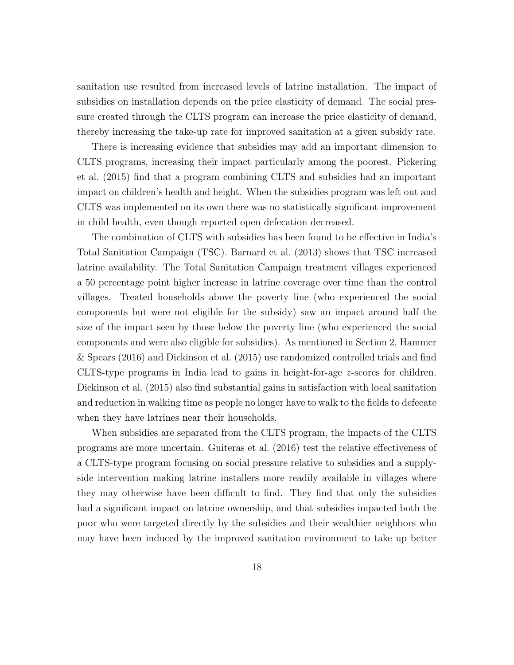sanitation use resulted from increased levels of latrine installation. The impact of subsidies on installation depends on the price elasticity of demand. The social pressure created through the CLTS program can increase the price elasticity of demand, thereby increasing the take-up rate for improved sanitation at a given subsidy rate.

There is increasing evidence that subsidies may add an important dimension to CLTS programs, increasing their impact particularly among the poorest. Pickering et al. (2015) find that a program combining CLTS and subsidies had an important impact on children's health and height. When the subsidies program was left out and CLTS was implemented on its own there was no statistically significant improvement in child health, even though reported open defecation decreased.

The combination of CLTS with subsidies has been found to be effective in India's Total Sanitation Campaign (TSC). Barnard et al. (2013) shows that TSC increased latrine availability. The Total Sanitation Campaign treatment villages experienced a 50 percentage point higher increase in latrine coverage over time than the control villages. Treated households above the poverty line (who experienced the social components but were not eligible for the subsidy) saw an impact around half the size of the impact seen by those below the poverty line (who experienced the social components and were also eligible for subsidies). As mentioned in Section 2, Hammer & Spears (2016) and Dickinson et al. (2015) use randomized controlled trials and find CLTS-type programs in India lead to gains in height-for-age z-scores for children. Dickinson et al. (2015) also find substantial gains in satisfaction with local sanitation and reduction in walking time as people no longer have to walk to the fields to defecate when they have latrines near their households.

When subsidies are separated from the CLTS program, the impacts of the CLTS programs are more uncertain. Guiteras et al. (2016) test the relative effectiveness of a CLTS-type program focusing on social pressure relative to subsidies and a supplyside intervention making latrine installers more readily available in villages where they may otherwise have been difficult to find. They find that only the subsidies had a significant impact on latrine ownership, and that subsidies impacted both the poor who were targeted directly by the subsidies and their wealthier neighbors who may have been induced by the improved sanitation environment to take up better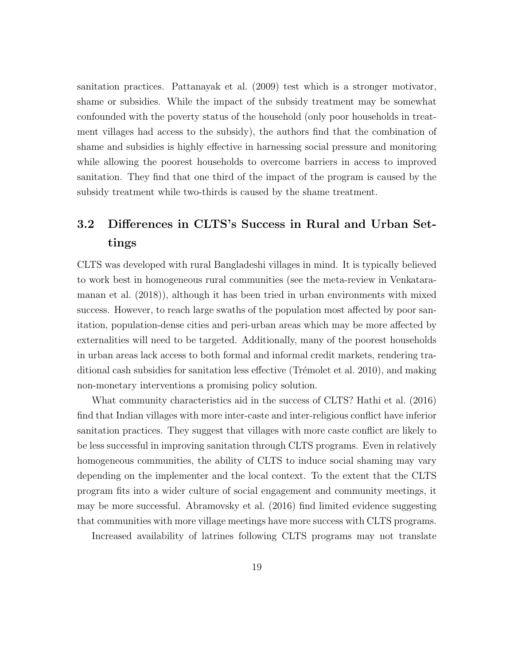sanitation practices. Pattanayak et al. (2009) test which is a stronger motivator, shame or subsidies. While the impact of the subsidy treatment may be somewhat confounded with the poverty status of the household (only poor households in treatment villages had access to the subsidy), the authors find that the combination of shame and subsidies is highly effective in harnessing social pressure and monitoring while allowing the poorest households to overcome barriers in access to improved sanitation. They find that one third of the impact of the program is caused by the subsidy treatment while two-thirds is caused by the shame treatment.

## 3.2 Differences in CLTS's Success in Rural and Urban Settings

CLTS was developed with rural Bangladeshi villages in mind. It is typically believed to work best in homogeneous rural communities (see the meta-review in Venkataramanan et al. (2018)), although it has been tried in urban environments with mixed success. However, to reach large swaths of the population most affected by poor sanitation, population-dense cities and peri-urban areas which may be more affected by externalities will need to be targeted. Additionally, many of the poorest households in urban areas lack access to both formal and informal credit markets, rendering traditional cash subsidies for sanitation less effective (Trémolet et al.  $2010$ ), and making non-monetary interventions a promising policy solution.

What community characteristics aid in the success of CLTS? Hathi et al. (2016) find that Indian villages with more inter-caste and inter-religious conflict have inferior sanitation practices. They suggest that villages with more caste conflict are likely to be less successful in improving sanitation through CLTS programs. Even in relatively homogeneous communities, the ability of CLTS to induce social shaming may vary depending on the implementer and the local context. To the extent that the CLTS program fits into a wider culture of social engagement and community meetings, it may be more successful. Abramovsky et al. (2016) find limited evidence suggesting that communities with more village meetings have more success with CLTS programs.

Increased availability of latrines following CLTS programs may not translate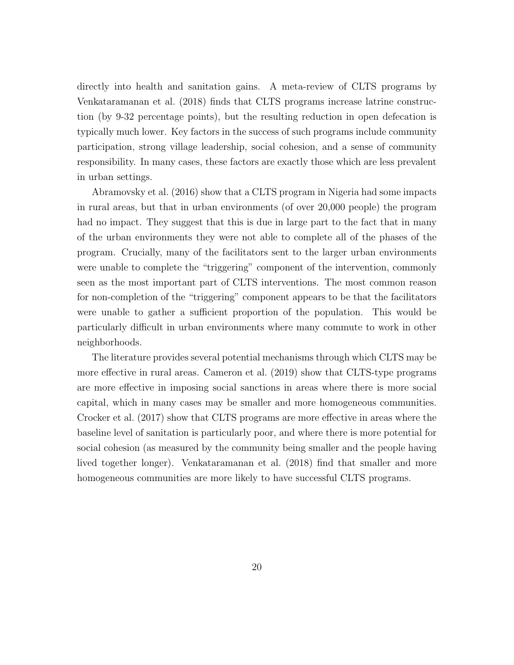directly into health and sanitation gains. A meta-review of CLTS programs by Venkataramanan et al. (2018) finds that CLTS programs increase latrine construction (by 9-32 percentage points), but the resulting reduction in open defecation is typically much lower. Key factors in the success of such programs include community participation, strong village leadership, social cohesion, and a sense of community responsibility. In many cases, these factors are exactly those which are less prevalent in urban settings.

Abramovsky et al. (2016) show that a CLTS program in Nigeria had some impacts in rural areas, but that in urban environments (of over 20,000 people) the program had no impact. They suggest that this is due in large part to the fact that in many of the urban environments they were not able to complete all of the phases of the program. Crucially, many of the facilitators sent to the larger urban environments were unable to complete the "triggering" component of the intervention, commonly seen as the most important part of CLTS interventions. The most common reason for non-completion of the "triggering" component appears to be that the facilitators were unable to gather a sufficient proportion of the population. This would be particularly difficult in urban environments where many commute to work in other neighborhoods.

The literature provides several potential mechanisms through which CLTS may be more effective in rural areas. Cameron et al. (2019) show that CLTS-type programs are more effective in imposing social sanctions in areas where there is more social capital, which in many cases may be smaller and more homogeneous communities. Crocker et al. (2017) show that CLTS programs are more effective in areas where the baseline level of sanitation is particularly poor, and where there is more potential for social cohesion (as measured by the community being smaller and the people having lived together longer). Venkataramanan et al. (2018) find that smaller and more homogeneous communities are more likely to have successful CLTS programs.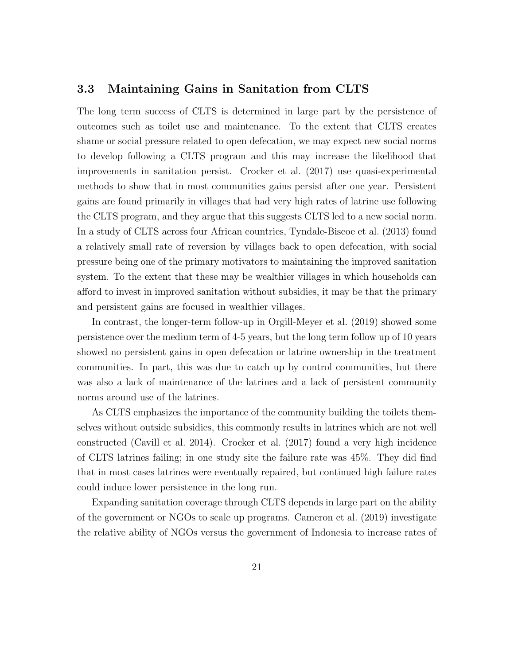#### 3.3 Maintaining Gains in Sanitation from CLTS

The long term success of CLTS is determined in large part by the persistence of outcomes such as toilet use and maintenance. To the extent that CLTS creates shame or social pressure related to open defecation, we may expect new social norms to develop following a CLTS program and this may increase the likelihood that improvements in sanitation persist. Crocker et al. (2017) use quasi-experimental methods to show that in most communities gains persist after one year. Persistent gains are found primarily in villages that had very high rates of latrine use following the CLTS program, and they argue that this suggests CLTS led to a new social norm. In a study of CLTS across four African countries, Tyndale-Biscoe et al. (2013) found a relatively small rate of reversion by villages back to open defecation, with social pressure being one of the primary motivators to maintaining the improved sanitation system. To the extent that these may be wealthier villages in which households can afford to invest in improved sanitation without subsidies, it may be that the primary and persistent gains are focused in wealthier villages.

In contrast, the longer-term follow-up in Orgill-Meyer et al. (2019) showed some persistence over the medium term of 4-5 years, but the long term follow up of 10 years showed no persistent gains in open defecation or latrine ownership in the treatment communities. In part, this was due to catch up by control communities, but there was also a lack of maintenance of the latrines and a lack of persistent community norms around use of the latrines.

As CLTS emphasizes the importance of the community building the toilets themselves without outside subsidies, this commonly results in latrines which are not well constructed (Cavill et al. 2014). Crocker et al. (2017) found a very high incidence of CLTS latrines failing; in one study site the failure rate was 45%. They did find that in most cases latrines were eventually repaired, but continued high failure rates could induce lower persistence in the long run.

Expanding sanitation coverage through CLTS depends in large part on the ability of the government or NGOs to scale up programs. Cameron et al. (2019) investigate the relative ability of NGOs versus the government of Indonesia to increase rates of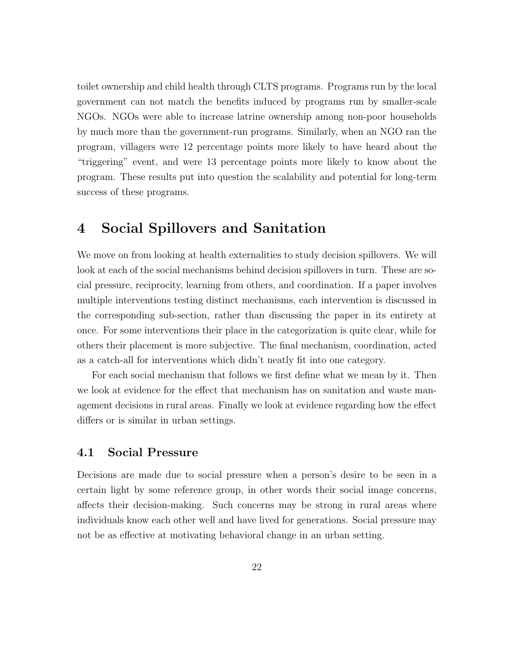toilet ownership and child health through CLTS programs. Programs run by the local government can not match the benefits induced by programs run by smaller-scale NGOs. NGOs were able to increase latrine ownership among non-poor households by much more than the government-run programs. Similarly, when an NGO ran the program, villagers were 12 percentage points more likely to have heard about the "triggering" event, and were 13 percentage points more likely to know about the program. These results put into question the scalability and potential for long-term success of these programs.

### 4 Social Spillovers and Sanitation

We move on from looking at health externalities to study decision spillovers. We will look at each of the social mechanisms behind decision spillovers in turn. These are social pressure, reciprocity, learning from others, and coordination. If a paper involves multiple interventions testing distinct mechanisms, each intervention is discussed in the corresponding sub-section, rather than discussing the paper in its entirety at once. For some interventions their place in the categorization is quite clear, while for others their placement is more subjective. The final mechanism, coordination, acted as a catch-all for interventions which didn't neatly fit into one category.

For each social mechanism that follows we first define what we mean by it. Then we look at evidence for the effect that mechanism has on sanitation and waste management decisions in rural areas. Finally we look at evidence regarding how the effect differs or is similar in urban settings.

### 4.1 Social Pressure

Decisions are made due to social pressure when a person's desire to be seen in a certain light by some reference group, in other words their social image concerns, affects their decision-making. Such concerns may be strong in rural areas where individuals know each other well and have lived for generations. Social pressure may not be as effective at motivating behavioral change in an urban setting.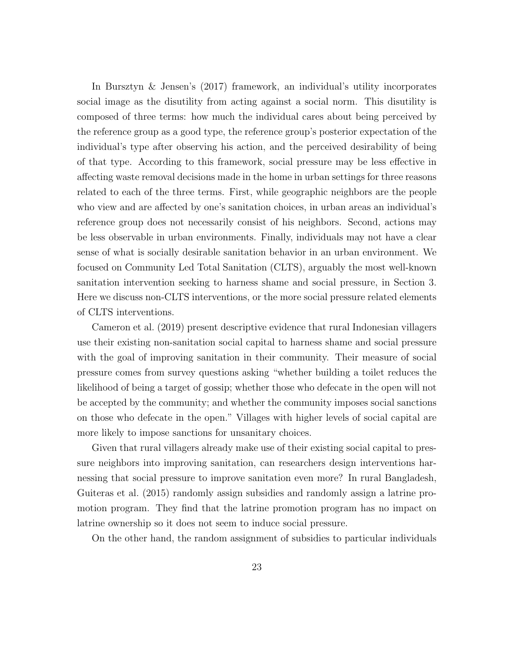In Bursztyn & Jensen's (2017) framework, an individual's utility incorporates social image as the disutility from acting against a social norm. This disutility is composed of three terms: how much the individual cares about being perceived by the reference group as a good type, the reference group's posterior expectation of the individual's type after observing his action, and the perceived desirability of being of that type. According to this framework, social pressure may be less effective in affecting waste removal decisions made in the home in urban settings for three reasons related to each of the three terms. First, while geographic neighbors are the people who view and are affected by one's sanitation choices, in urban areas an individual's reference group does not necessarily consist of his neighbors. Second, actions may be less observable in urban environments. Finally, individuals may not have a clear sense of what is socially desirable sanitation behavior in an urban environment. We focused on Community Led Total Sanitation (CLTS), arguably the most well-known sanitation intervention seeking to harness shame and social pressure, in Section 3. Here we discuss non-CLTS interventions, or the more social pressure related elements of CLTS interventions.

Cameron et al. (2019) present descriptive evidence that rural Indonesian villagers use their existing non-sanitation social capital to harness shame and social pressure with the goal of improving sanitation in their community. Their measure of social pressure comes from survey questions asking "whether building a toilet reduces the likelihood of being a target of gossip; whether those who defecate in the open will not be accepted by the community; and whether the community imposes social sanctions on those who defecate in the open." Villages with higher levels of social capital are more likely to impose sanctions for unsanitary choices.

Given that rural villagers already make use of their existing social capital to pressure neighbors into improving sanitation, can researchers design interventions harnessing that social pressure to improve sanitation even more? In rural Bangladesh, Guiteras et al. (2015) randomly assign subsidies and randomly assign a latrine promotion program. They find that the latrine promotion program has no impact on latrine ownership so it does not seem to induce social pressure.

On the other hand, the random assignment of subsidies to particular individuals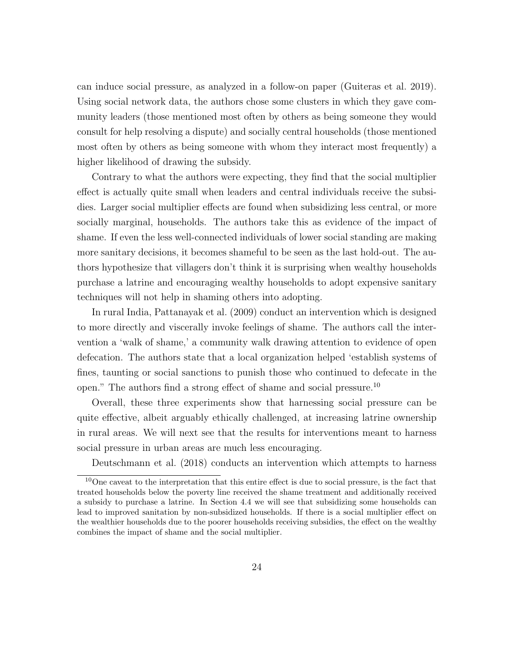can induce social pressure, as analyzed in a follow-on paper (Guiteras et al. 2019). Using social network data, the authors chose some clusters in which they gave community leaders (those mentioned most often by others as being someone they would consult for help resolving a dispute) and socially central households (those mentioned most often by others as being someone with whom they interact most frequently) a higher likelihood of drawing the subsidy.

Contrary to what the authors were expecting, they find that the social multiplier effect is actually quite small when leaders and central individuals receive the subsidies. Larger social multiplier effects are found when subsidizing less central, or more socially marginal, households. The authors take this as evidence of the impact of shame. If even the less well-connected individuals of lower social standing are making more sanitary decisions, it becomes shameful to be seen as the last hold-out. The authors hypothesize that villagers don't think it is surprising when wealthy households purchase a latrine and encouraging wealthy households to adopt expensive sanitary techniques will not help in shaming others into adopting.

In rural India, Pattanayak et al. (2009) conduct an intervention which is designed to more directly and viscerally invoke feelings of shame. The authors call the intervention a 'walk of shame,' a community walk drawing attention to evidence of open defecation. The authors state that a local organization helped 'establish systems of fines, taunting or social sanctions to punish those who continued to defecate in the open." The authors find a strong effect of shame and social pressure.<sup>10</sup>

Overall, these three experiments show that harnessing social pressure can be quite effective, albeit arguably ethically challenged, at increasing latrine ownership in rural areas. We will next see that the results for interventions meant to harness social pressure in urban areas are much less encouraging.

Deutschmann et al. (2018) conducts an intervention which attempts to harness

<sup>10</sup>One caveat to the interpretation that this entire effect is due to social pressure, is the fact that treated households below the poverty line received the shame treatment and additionally received a subsidy to purchase a latrine. In Section 4.4 we will see that subsidizing some households can lead to improved sanitation by non-subsidized households. If there is a social multiplier effect on the wealthier households due to the poorer households receiving subsidies, the effect on the wealthy combines the impact of shame and the social multiplier.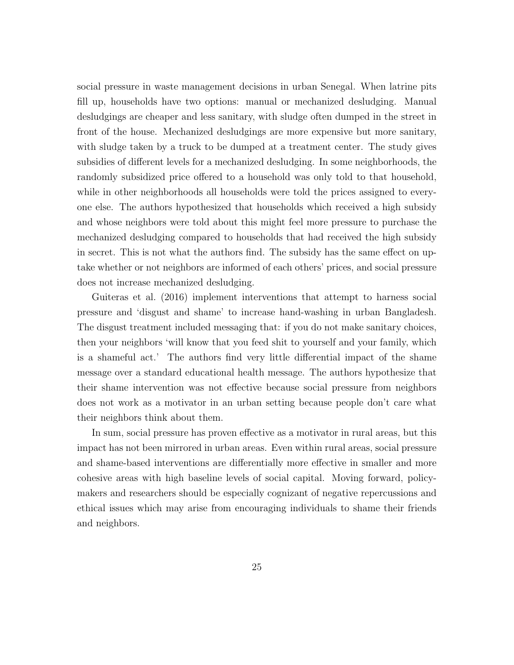social pressure in waste management decisions in urban Senegal. When latrine pits fill up, households have two options: manual or mechanized desludging. Manual desludgings are cheaper and less sanitary, with sludge often dumped in the street in front of the house. Mechanized desludgings are more expensive but more sanitary, with sludge taken by a truck to be dumped at a treatment center. The study gives subsidies of different levels for a mechanized desludging. In some neighborhoods, the randomly subsidized price offered to a household was only told to that household, while in other neighborhoods all households were told the prices assigned to everyone else. The authors hypothesized that households which received a high subsidy and whose neighbors were told about this might feel more pressure to purchase the mechanized desludging compared to households that had received the high subsidy in secret. This is not what the authors find. The subsidy has the same effect on uptake whether or not neighbors are informed of each others' prices, and social pressure does not increase mechanized desludging.

Guiteras et al. (2016) implement interventions that attempt to harness social pressure and 'disgust and shame' to increase hand-washing in urban Bangladesh. The disgust treatment included messaging that: if you do not make sanitary choices, then your neighbors 'will know that you feed shit to yourself and your family, which is a shameful act.' The authors find very little differential impact of the shame message over a standard educational health message. The authors hypothesize that their shame intervention was not effective because social pressure from neighbors does not work as a motivator in an urban setting because people don't care what their neighbors think about them.

In sum, social pressure has proven effective as a motivator in rural areas, but this impact has not been mirrored in urban areas. Even within rural areas, social pressure and shame-based interventions are differentially more effective in smaller and more cohesive areas with high baseline levels of social capital. Moving forward, policymakers and researchers should be especially cognizant of negative repercussions and ethical issues which may arise from encouraging individuals to shame their friends and neighbors.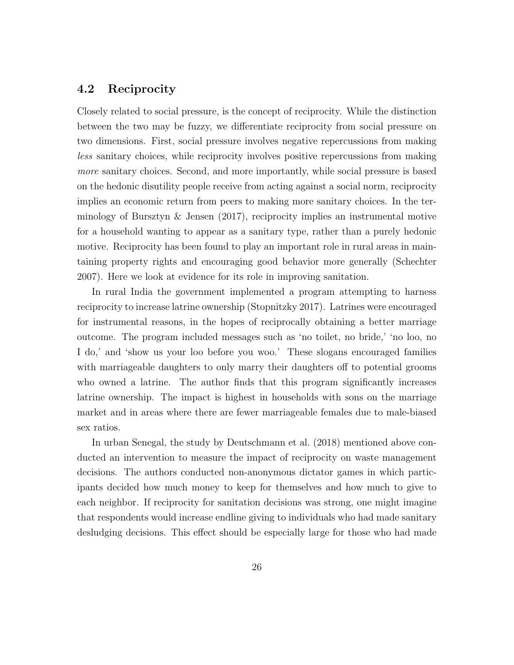### 4.2 Reciprocity

Closely related to social pressure, is the concept of reciprocity. While the distinction between the two may be fuzzy, we differentiate reciprocity from social pressure on two dimensions. First, social pressure involves negative repercussions from making less sanitary choices, while reciprocity involves positive repercussions from making more sanitary choices. Second, and more importantly, while social pressure is based on the hedonic disutility people receive from acting against a social norm, reciprocity implies an economic return from peers to making more sanitary choices. In the terminology of Bursztyn & Jensen (2017), reciprocity implies an instrumental motive for a household wanting to appear as a sanitary type, rather than a purely hedonic motive. Reciprocity has been found to play an important role in rural areas in maintaining property rights and encouraging good behavior more generally (Schechter 2007). Here we look at evidence for its role in improving sanitation.

In rural India the government implemented a program attempting to harness reciprocity to increase latrine ownership (Stopnitzky 2017). Latrines were encouraged for instrumental reasons, in the hopes of reciprocally obtaining a better marriage outcome. The program included messages such as 'no toilet, no bride,' 'no loo, no I do,' and 'show us your loo before you woo.' These slogans encouraged families with marriageable daughters to only marry their daughters off to potential grooms who owned a latrine. The author finds that this program significantly increases latrine ownership. The impact is highest in households with sons on the marriage market and in areas where there are fewer marriageable females due to male-biased sex ratios.

In urban Senegal, the study by Deutschmann et al. (2018) mentioned above conducted an intervention to measure the impact of reciprocity on waste management decisions. The authors conducted non-anonymous dictator games in which participants decided how much money to keep for themselves and how much to give to each neighbor. If reciprocity for sanitation decisions was strong, one might imagine that respondents would increase endline giving to individuals who had made sanitary desludging decisions. This effect should be especially large for those who had made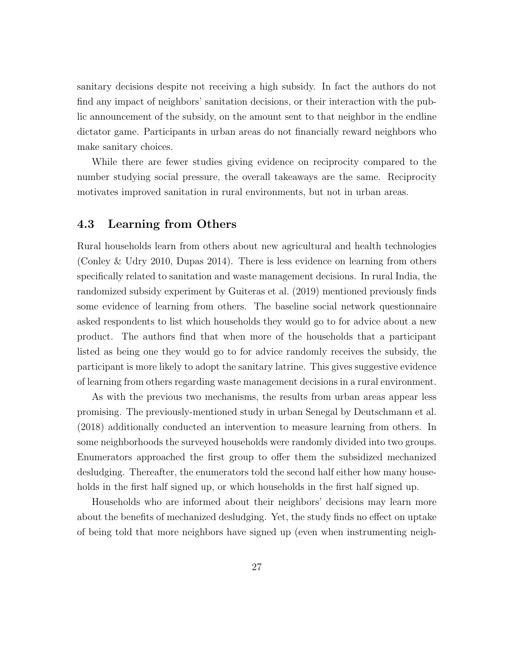sanitary decisions despite not receiving a high subsidy. In fact the authors do not find any impact of neighbors' sanitation decisions, or their interaction with the public announcement of the subsidy, on the amount sent to that neighbor in the endline dictator game. Participants in urban areas do not financially reward neighbors who make sanitary choices.

While there are fewer studies giving evidence on reciprocity compared to the number studying social pressure, the overall takeaways are the same. Reciprocity motivates improved sanitation in rural environments, but not in urban areas.

#### 4.3 Learning from Others

Rural households learn from others about new agricultural and health technologies (Conley & Udry 2010, Dupas 2014). There is less evidence on learning from others specifically related to sanitation and waste management decisions. In rural India, the randomized subsidy experiment by Guiteras et al. (2019) mentioned previously finds some evidence of learning from others. The baseline social network questionnaire asked respondents to list which households they would go to for advice about a new product. The authors find that when more of the households that a participant listed as being one they would go to for advice randomly receives the subsidy, the participant is more likely to adopt the sanitary latrine. This gives suggestive evidence of learning from others regarding waste management decisions in a rural environment.

As with the previous two mechanisms, the results from urban areas appear less promising. The previously-mentioned study in urban Senegal by Deutschmann et al. (2018) additionally conducted an intervention to measure learning from others. In some neighborhoods the surveyed households were randomly divided into two groups. Enumerators approached the first group to offer them the subsidized mechanized desludging. Thereafter, the enumerators told the second half either how many households in the first half signed up, or which households in the first half signed up.

Households who are informed about their neighbors' decisions may learn more about the benefits of mechanized desludging. Yet, the study finds no effect on uptake of being told that more neighbors have signed up (even when instrumenting neigh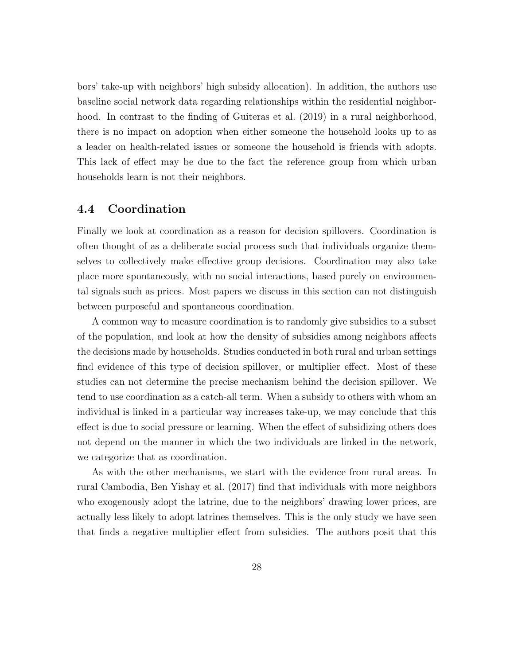bors' take-up with neighbors' high subsidy allocation). In addition, the authors use baseline social network data regarding relationships within the residential neighborhood. In contrast to the finding of Guiteras et al. (2019) in a rural neighborhood, there is no impact on adoption when either someone the household looks up to as a leader on health-related issues or someone the household is friends with adopts. This lack of effect may be due to the fact the reference group from which urban households learn is not their neighbors.

#### 4.4 Coordination

Finally we look at coordination as a reason for decision spillovers. Coordination is often thought of as a deliberate social process such that individuals organize themselves to collectively make effective group decisions. Coordination may also take place more spontaneously, with no social interactions, based purely on environmental signals such as prices. Most papers we discuss in this section can not distinguish between purposeful and spontaneous coordination.

A common way to measure coordination is to randomly give subsidies to a subset of the population, and look at how the density of subsidies among neighbors affects the decisions made by households. Studies conducted in both rural and urban settings find evidence of this type of decision spillover, or multiplier effect. Most of these studies can not determine the precise mechanism behind the decision spillover. We tend to use coordination as a catch-all term. When a subsidy to others with whom an individual is linked in a particular way increases take-up, we may conclude that this effect is due to social pressure or learning. When the effect of subsidizing others does not depend on the manner in which the two individuals are linked in the network, we categorize that as coordination.

As with the other mechanisms, we start with the evidence from rural areas. In rural Cambodia, Ben Yishay et al. (2017) find that individuals with more neighbors who exogenously adopt the latrine, due to the neighbors' drawing lower prices, are actually less likely to adopt latrines themselves. This is the only study we have seen that finds a negative multiplier effect from subsidies. The authors posit that this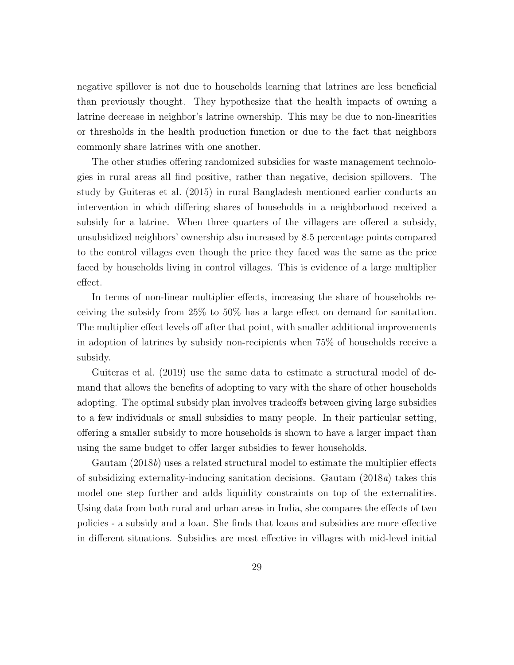negative spillover is not due to households learning that latrines are less beneficial than previously thought. They hypothesize that the health impacts of owning a latrine decrease in neighbor's latrine ownership. This may be due to non-linearities or thresholds in the health production function or due to the fact that neighbors commonly share latrines with one another.

The other studies offering randomized subsidies for waste management technologies in rural areas all find positive, rather than negative, decision spillovers. The study by Guiteras et al. (2015) in rural Bangladesh mentioned earlier conducts an intervention in which differing shares of households in a neighborhood received a subsidy for a latrine. When three quarters of the villagers are offered a subsidy, unsubsidized neighbors' ownership also increased by 8.5 percentage points compared to the control villages even though the price they faced was the same as the price faced by households living in control villages. This is evidence of a large multiplier effect.

In terms of non-linear multiplier effects, increasing the share of households receiving the subsidy from 25% to 50% has a large effect on demand for sanitation. The multiplier effect levels off after that point, with smaller additional improvements in adoption of latrines by subsidy non-recipients when 75% of households receive a subsidy.

Guiteras et al. (2019) use the same data to estimate a structural model of demand that allows the benefits of adopting to vary with the share of other households adopting. The optimal subsidy plan involves tradeoffs between giving large subsidies to a few individuals or small subsidies to many people. In their particular setting, offering a smaller subsidy to more households is shown to have a larger impact than using the same budget to offer larger subsidies to fewer households.

Gautam (2018b) uses a related structural model to estimate the multiplier effects of subsidizing externality-inducing sanitation decisions. Gautam (2018a) takes this model one step further and adds liquidity constraints on top of the externalities. Using data from both rural and urban areas in India, she compares the effects of two policies - a subsidy and a loan. She finds that loans and subsidies are more effective in different situations. Subsidies are most effective in villages with mid-level initial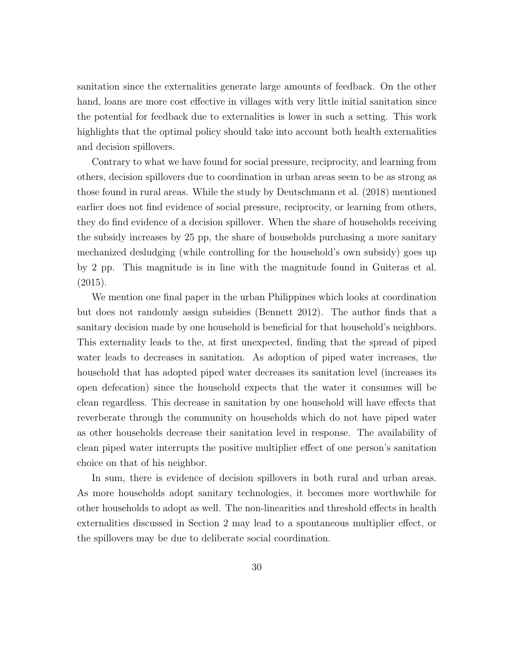sanitation since the externalities generate large amounts of feedback. On the other hand, loans are more cost effective in villages with very little initial sanitation since the potential for feedback due to externalities is lower in such a setting. This work highlights that the optimal policy should take into account both health externalities and decision spillovers.

Contrary to what we have found for social pressure, reciprocity, and learning from others, decision spillovers due to coordination in urban areas seem to be as strong as those found in rural areas. While the study by Deutschmann et al. (2018) mentioned earlier does not find evidence of social pressure, reciprocity, or learning from others, they do find evidence of a decision spillover. When the share of households receiving the subsidy increases by 25 pp, the share of households purchasing a more sanitary mechanized desludging (while controlling for the household's own subsidy) goes up by 2 pp. This magnitude is in line with the magnitude found in Guiteras et al.  $(2015).$ 

We mention one final paper in the urban Philippines which looks at coordination but does not randomly assign subsidies (Bennett 2012). The author finds that a sanitary decision made by one household is beneficial for that household's neighbors. This externality leads to the, at first unexpected, finding that the spread of piped water leads to decreases in sanitation. As adoption of piped water increases, the household that has adopted piped water decreases its sanitation level (increases its open defecation) since the household expects that the water it consumes will be clean regardless. This decrease in sanitation by one household will have effects that reverberate through the community on households which do not have piped water as other households decrease their sanitation level in response. The availability of clean piped water interrupts the positive multiplier effect of one person's sanitation choice on that of his neighbor.

In sum, there is evidence of decision spillovers in both rural and urban areas. As more households adopt sanitary technologies, it becomes more worthwhile for other households to adopt as well. The non-linearities and threshold effects in health externalities discussed in Section 2 may lead to a spontaneous multiplier effect, or the spillovers may be due to deliberate social coordination.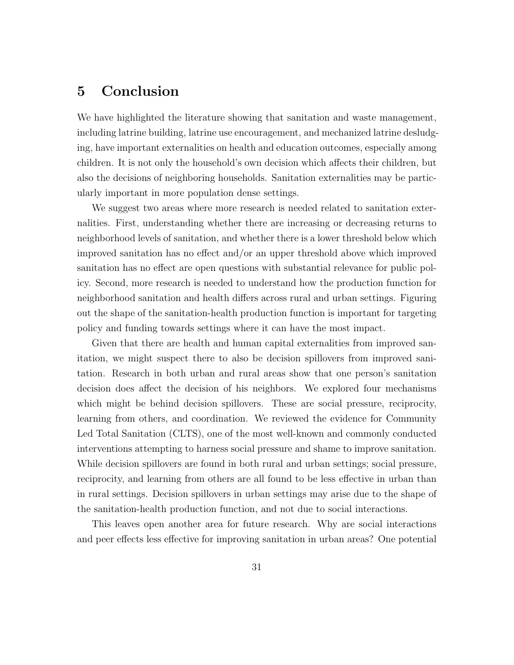### 5 Conclusion

We have highlighted the literature showing that sanitation and waste management, including latrine building, latrine use encouragement, and mechanized latrine desludging, have important externalities on health and education outcomes, especially among children. It is not only the household's own decision which affects their children, but also the decisions of neighboring households. Sanitation externalities may be particularly important in more population dense settings.

We suggest two areas where more research is needed related to sanitation externalities. First, understanding whether there are increasing or decreasing returns to neighborhood levels of sanitation, and whether there is a lower threshold below which improved sanitation has no effect and/or an upper threshold above which improved sanitation has no effect are open questions with substantial relevance for public policy. Second, more research is needed to understand how the production function for neighborhood sanitation and health differs across rural and urban settings. Figuring out the shape of the sanitation-health production function is important for targeting policy and funding towards settings where it can have the most impact.

Given that there are health and human capital externalities from improved sanitation, we might suspect there to also be decision spillovers from improved sanitation. Research in both urban and rural areas show that one person's sanitation decision does affect the decision of his neighbors. We explored four mechanisms which might be behind decision spillovers. These are social pressure, reciprocity, learning from others, and coordination. We reviewed the evidence for Community Led Total Sanitation (CLTS), one of the most well-known and commonly conducted interventions attempting to harness social pressure and shame to improve sanitation. While decision spillovers are found in both rural and urban settings; social pressure, reciprocity, and learning from others are all found to be less effective in urban than in rural settings. Decision spillovers in urban settings may arise due to the shape of the sanitation-health production function, and not due to social interactions.

This leaves open another area for future research. Why are social interactions and peer effects less effective for improving sanitation in urban areas? One potential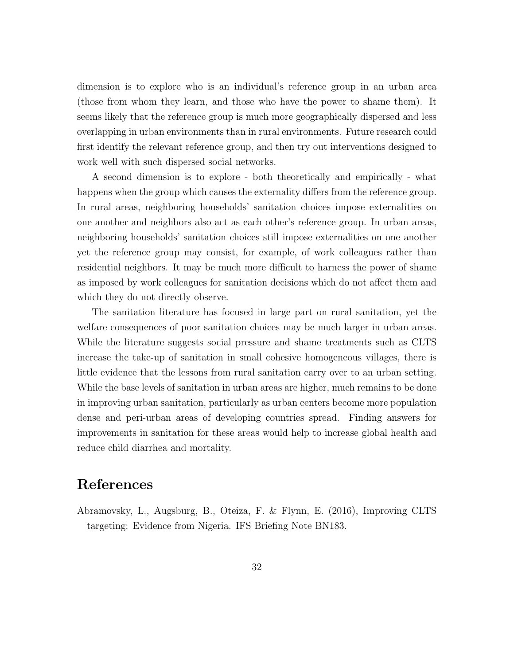dimension is to explore who is an individual's reference group in an urban area (those from whom they learn, and those who have the power to shame them). It seems likely that the reference group is much more geographically dispersed and less overlapping in urban environments than in rural environments. Future research could first identify the relevant reference group, and then try out interventions designed to work well with such dispersed social networks.

A second dimension is to explore - both theoretically and empirically - what happens when the group which causes the externality differs from the reference group. In rural areas, neighboring households' sanitation choices impose externalities on one another and neighbors also act as each other's reference group. In urban areas, neighboring households' sanitation choices still impose externalities on one another yet the reference group may consist, for example, of work colleagues rather than residential neighbors. It may be much more difficult to harness the power of shame as imposed by work colleagues for sanitation decisions which do not affect them and which they do not directly observe.

The sanitation literature has focused in large part on rural sanitation, yet the welfare consequences of poor sanitation choices may be much larger in urban areas. While the literature suggests social pressure and shame treatments such as CLTS increase the take-up of sanitation in small cohesive homogeneous villages, there is little evidence that the lessons from rural sanitation carry over to an urban setting. While the base levels of sanitation in urban areas are higher, much remains to be done in improving urban sanitation, particularly as urban centers become more population dense and peri-urban areas of developing countries spread. Finding answers for improvements in sanitation for these areas would help to increase global health and reduce child diarrhea and mortality.

### References

Abramovsky, L., Augsburg, B., Oteiza, F. & Flynn, E. (2016), Improving CLTS targeting: Evidence from Nigeria. IFS Briefing Note BN183.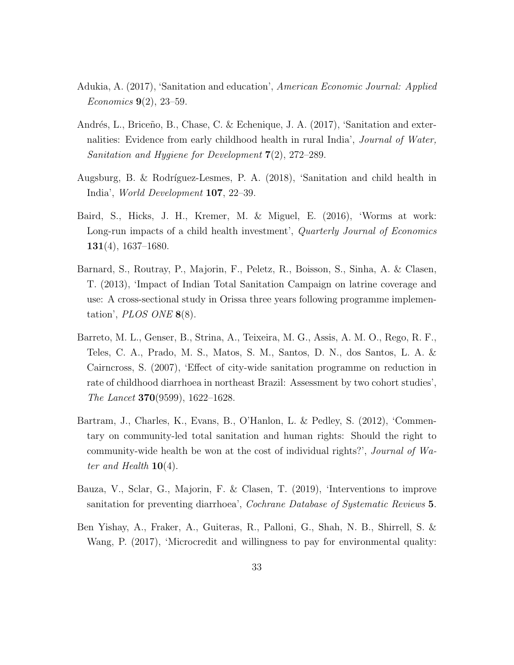- Adukia, A. (2017), 'Sanitation and education', American Economic Journal: Applied Economics 9(2), 23–59.
- Andrés, L., Briceño, B., Chase, C. & Echenique, J. A. (2017), 'Sanitation and externalities: Evidence from early childhood health in rural India', *Journal of Water*, Sanitation and Hygiene for Development 7(2), 272–289.
- Augsburg, B. & Rodríguez-Lesmes, P. A. (2018), 'Sanitation and child health in India', World Development 107, 22–39.
- Baird, S., Hicks, J. H., Kremer, M. & Miguel, E. (2016), 'Worms at work: Long-run impacts of a child health investment', Quarterly Journal of Economics  $131(4)$ , 1637–1680.
- Barnard, S., Routray, P., Majorin, F., Peletz, R., Boisson, S., Sinha, A. & Clasen, T. (2013), 'Impact of Indian Total Sanitation Campaign on latrine coverage and use: A cross-sectional study in Orissa three years following programme implementation', PLOS ONE 8(8).
- Barreto, M. L., Genser, B., Strina, A., Teixeira, M. G., Assis, A. M. O., Rego, R. F., Teles, C. A., Prado, M. S., Matos, S. M., Santos, D. N., dos Santos, L. A. & Cairncross, S. (2007), 'Effect of city-wide sanitation programme on reduction in rate of childhood diarrhoea in northeast Brazil: Assessment by two cohort studies', The Lancet 370(9599), 1622–1628.
- Bartram, J., Charles, K., Evans, B., O'Hanlon, L. & Pedley, S. (2012), 'Commentary on community-led total sanitation and human rights: Should the right to community-wide health be won at the cost of individual rights?', Journal of Water and Health  $10(4)$ .
- Bauza, V., Sclar, G., Majorin, F. & Clasen, T. (2019), 'Interventions to improve sanitation for preventing diarrhoea', *Cochrane Database of Systematic Reviews* 5.
- Ben Yishay, A., Fraker, A., Guiteras, R., Palloni, G., Shah, N. B., Shirrell, S. & Wang, P. (2017), 'Microcredit and willingness to pay for environmental quality: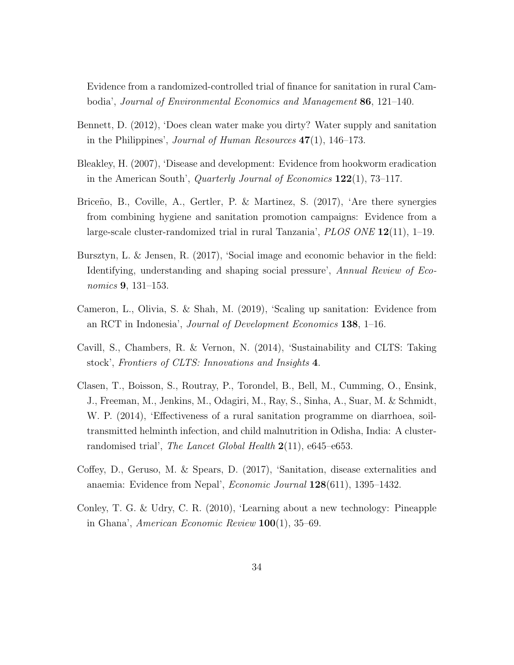Evidence from a randomized-controlled trial of finance for sanitation in rural Cambodia', Journal of Environmental Economics and Management 86, 121–140.

- Bennett, D. (2012), 'Does clean water make you dirty? Water supply and sanitation in the Philippines', Journal of Human Resources 47(1), 146–173.
- Bleakley, H. (2007), 'Disease and development: Evidence from hookworm eradication in the American South', Quarterly Journal of Economics 122(1), 73–117.
- Briceño, B., Coville, A., Gertler, P. & Martinez, S.  $(2017)$ , 'Are there synergies from combining hygiene and sanitation promotion campaigns: Evidence from a large-scale cluster-randomized trial in rural Tanzania', PLOS ONE 12(11), 1–19.
- Bursztyn, L. & Jensen, R. (2017), 'Social image and economic behavior in the field: Identifying, understanding and shaping social pressure', Annual Review of Economics 9, 131–153.
- Cameron, L., Olivia, S. & Shah, M. (2019), 'Scaling up sanitation: Evidence from an RCT in Indonesia', Journal of Development Economics 138, 1–16.
- Cavill, S., Chambers, R. & Vernon, N. (2014), 'Sustainability and CLTS: Taking stock', Frontiers of CLTS: Innovations and Insights 4.
- Clasen, T., Boisson, S., Routray, P., Torondel, B., Bell, M., Cumming, O., Ensink, J., Freeman, M., Jenkins, M., Odagiri, M., Ray, S., Sinha, A., Suar, M. & Schmidt, W. P. (2014), 'Effectiveness of a rural sanitation programme on diarrhoea, soiltransmitted helminth infection, and child malnutrition in Odisha, India: A clusterrandomised trial', The Lancet Global Health 2(11), e645–e653.
- Coffey, D., Geruso, M. & Spears, D. (2017), 'Sanitation, disease externalities and anaemia: Evidence from Nepal', Economic Journal 128(611), 1395–1432.
- Conley, T. G. & Udry, C. R. (2010), 'Learning about a new technology: Pineapple in Ghana', American Economic Review 100(1), 35–69.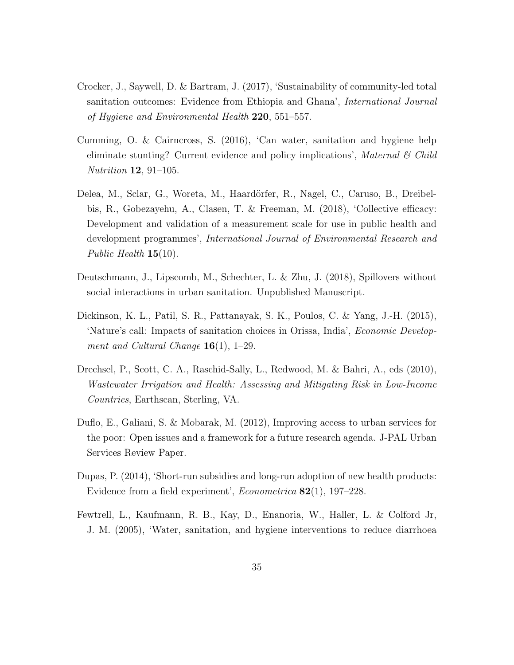- Crocker, J., Saywell, D. & Bartram, J. (2017), 'Sustainability of community-led total sanitation outcomes: Evidence from Ethiopia and Ghana', International Journal of Hygiene and Environmental Health 220, 551–557.
- Cumming, O. & Cairncross, S. (2016), 'Can water, sanitation and hygiene help eliminate stunting? Current evidence and policy implications', Maternal  $\mathcal C$  Child Nutrition 12, 91–105.
- Delea, M., Sclar, G., Woreta, M., Haardörfer, R., Nagel, C., Caruso, B., Dreibelbis, R., Gobezayehu, A., Clasen, T. & Freeman, M. (2018), 'Collective efficacy: Development and validation of a measurement scale for use in public health and development programmes', International Journal of Environmental Research and Public Health  $15(10)$ .
- Deutschmann, J., Lipscomb, M., Schechter, L. & Zhu, J. (2018), Spillovers without social interactions in urban sanitation. Unpublished Manuscript.
- Dickinson, K. L., Patil, S. R., Pattanayak, S. K., Poulos, C. & Yang, J.-H. (2015), 'Nature's call: Impacts of sanitation choices in Orissa, India', Economic Development and Cultural Change  $16(1)$ , 1–29.
- Drechsel, P., Scott, C. A., Raschid-Sally, L., Redwood, M. & Bahri, A., eds (2010), Wastewater Irrigation and Health: Assessing and Mitigating Risk in Low-Income Countries, Earthscan, Sterling, VA.
- Duflo, E., Galiani, S. & Mobarak, M. (2012), Improving access to urban services for the poor: Open issues and a framework for a future research agenda. J-PAL Urban Services Review Paper.
- Dupas, P. (2014), 'Short-run subsidies and long-run adoption of new health products: Evidence from a field experiment', Econometrica 82(1), 197–228.
- Fewtrell, L., Kaufmann, R. B., Kay, D., Enanoria, W., Haller, L. & Colford Jr, J. M. (2005), 'Water, sanitation, and hygiene interventions to reduce diarrhoea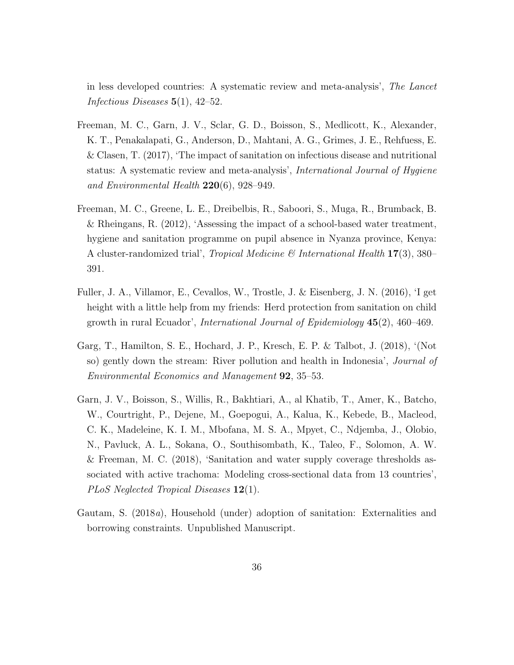in less developed countries: A systematic review and meta-analysis', The Lancet Infectious Diseases 5(1), 42–52.

- Freeman, M. C., Garn, J. V., Sclar, G. D., Boisson, S., Medlicott, K., Alexander, K. T., Penakalapati, G., Anderson, D., Mahtani, A. G., Grimes, J. E., Rehfuess, E. & Clasen, T. (2017), 'The impact of sanitation on infectious disease and nutritional status: A systematic review and meta-analysis', International Journal of Hygiene and Environmental Health  $220(6)$ , 928-949.
- Freeman, M. C., Greene, L. E., Dreibelbis, R., Saboori, S., Muga, R., Brumback, B. & Rheingans, R. (2012), 'Assessing the impact of a school-based water treatment, hygiene and sanitation programme on pupil absence in Nyanza province, Kenya: A cluster-randomized trial', *Tropical Medicine & International Health* 17(3), 380– 391.
- Fuller, J. A., Villamor, E., Cevallos, W., Trostle, J. & Eisenberg, J. N. (2016), 'I get height with a little help from my friends: Herd protection from sanitation on child growth in rural Ecuador', *International Journal of Epidemiology*  $45(2)$ ,  $460-469$ .
- Garg, T., Hamilton, S. E., Hochard, J. P., Kresch, E. P. & Talbot, J. (2018), '(Not so) gently down the stream: River pollution and health in Indonesia', Journal of Environmental Economics and Management 92, 35–53.
- Garn, J. V., Boisson, S., Willis, R., Bakhtiari, A., al Khatib, T., Amer, K., Batcho, W., Courtright, P., Dejene, M., Goepogui, A., Kalua, K., Kebede, B., Macleod, C. K., Madeleine, K. I. M., Mbofana, M. S. A., Mpyet, C., Ndjemba, J., Olobio, N., Pavluck, A. L., Sokana, O., Southisombath, K., Taleo, F., Solomon, A. W. & Freeman, M. C. (2018), 'Sanitation and water supply coverage thresholds associated with active trachoma: Modeling cross-sectional data from 13 countries', PLoS Neglected Tropical Diseases 12(1).
- Gautam, S. (2018a), Household (under) adoption of sanitation: Externalities and borrowing constraints. Unpublished Manuscript.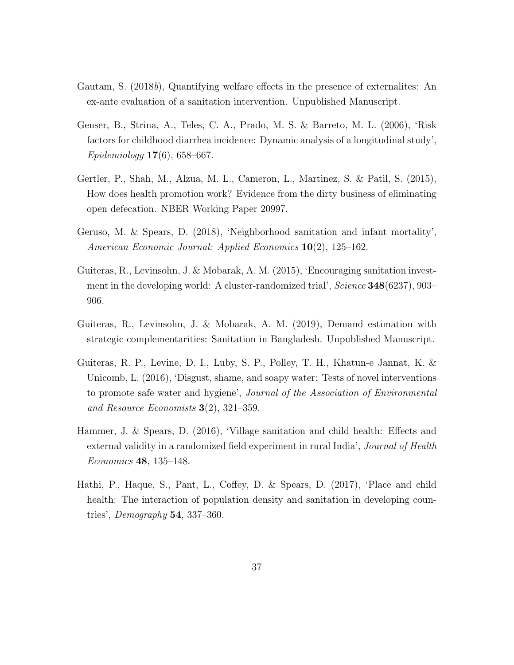- Gautam, S. (2018b), Quantifying welfare effects in the presence of externalites: An ex-ante evaluation of a sanitation intervention. Unpublished Manuscript.
- Genser, B., Strina, A., Teles, C. A., Prado, M. S. & Barreto, M. L. (2006), 'Risk factors for childhood diarrhea incidence: Dynamic analysis of a longitudinal study', Epidemiology  $17(6)$ , 658–667.
- Gertler, P., Shah, M., Alzua, M. L., Cameron, L., Martinez, S. & Patil, S. (2015), How does health promotion work? Evidence from the dirty business of eliminating open defecation. NBER Working Paper 20997.
- Geruso, M. & Spears, D. (2018), 'Neighborhood sanitation and infant mortality', American Economic Journal: Applied Economics 10(2), 125–162.
- Guiteras, R., Levinsohn, J. & Mobarak, A. M. (2015), 'Encouraging sanitation investment in the developing world: A cluster-randomized trial', Science 348(6237), 903– 906.
- Guiteras, R., Levinsohn, J. & Mobarak, A. M. (2019), Demand estimation with strategic complementarities: Sanitation in Bangladesh. Unpublished Manuscript.
- Guiteras, R. P., Levine, D. I., Luby, S. P., Polley, T. H., Khatun-e Jannat, K. & Unicomb, L. (2016), 'Disgust, shame, and soapy water: Tests of novel interventions to promote safe water and hygiene', Journal of the Association of Environmental and Resource Economists  $3(2)$ ,  $321-359$ .
- Hammer, J. & Spears, D. (2016), 'Village sanitation and child health: Effects and external validity in a randomized field experiment in rural India', *Journal of Health* Economics 48, 135–148.
- Hathi, P., Haque, S., Pant, L., Coffey, D. & Spears, D. (2017), 'Place and child health: The interaction of population density and sanitation in developing countries', Demography 54, 337–360.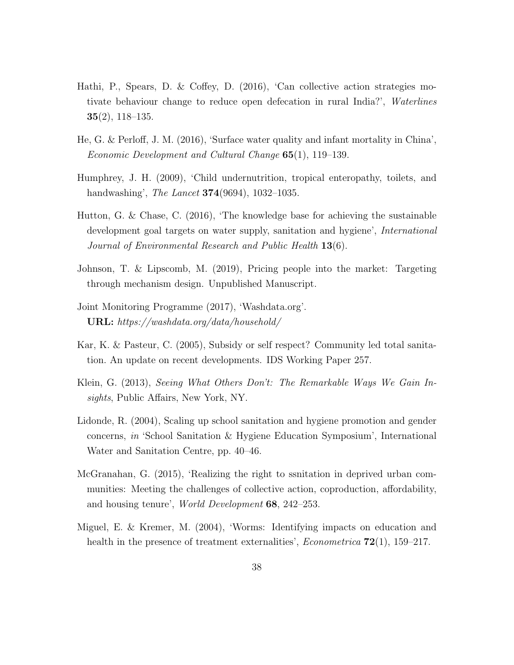- Hathi, P., Spears, D. & Coffey, D. (2016), 'Can collective action strategies motivate behaviour change to reduce open defecation in rural India?', Waterlines 35(2), 118–135.
- He, G. & Perloff, J. M. (2016), 'Surface water quality and infant mortality in China', Economic Development and Cultural Change 65(1), 119–139.
- Humphrey, J. H. (2009), 'Child undernutrition, tropical enteropathy, toilets, and handwashing', *The Lancet* **374**(9694), 1032–1035.
- Hutton, G. & Chase, C. (2016), 'The knowledge base for achieving the sustainable development goal targets on water supply, sanitation and hygiene', *International* Journal of Environmental Research and Public Health 13(6).
- Johnson, T. & Lipscomb, M. (2019), Pricing people into the market: Targeting through mechanism design. Unpublished Manuscript.
- Joint Monitoring Programme (2017), 'Washdata.org'. URL: https://washdata.org/data/household/
- Kar, K. & Pasteur, C. (2005), Subsidy or self respect? Community led total sanitation. An update on recent developments. IDS Working Paper 257.
- Klein, G. (2013), Seeing What Others Don't: The Remarkable Ways We Gain Insights, Public Affairs, New York, NY.
- Lidonde, R. (2004), Scaling up school sanitation and hygiene promotion and gender concerns, in 'School Sanitation & Hygiene Education Symposium', International Water and Sanitation Centre, pp. 40–46.
- McGranahan, G. (2015), 'Realizing the right to ssnitation in deprived urban communities: Meeting the challenges of collective action, coproduction, affordability, and housing tenure', World Development 68, 242–253.
- Miguel, E. & Kremer, M. (2004), 'Worms: Identifying impacts on education and health in the presence of treatment externalities', *Econometrica*  $72(1)$ , 159–217.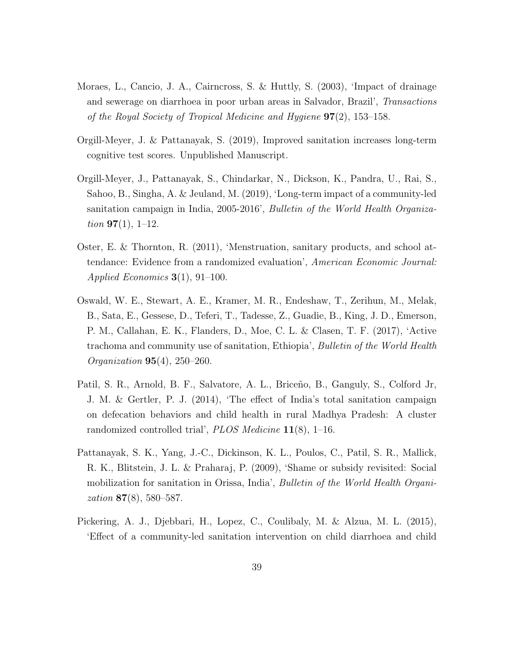- Moraes, L., Cancio, J. A., Cairncross, S. & Huttly, S. (2003), 'Impact of drainage and sewerage on diarrhoea in poor urban areas in Salvador, Brazil', Transactions of the Royal Society of Tropical Medicine and Hygiene  $97(2)$ , 153–158.
- Orgill-Meyer, J. & Pattanayak, S. (2019), Improved sanitation increases long-term cognitive test scores. Unpublished Manuscript.
- Orgill-Meyer, J., Pattanayak, S., Chindarkar, N., Dickson, K., Pandra, U., Rai, S., Sahoo, B., Singha, A. & Jeuland, M. (2019), 'Long-term impact of a community-led sanitation campaign in India, 2005-2016', Bulletin of the World Health Organiza*tion*  $97(1)$ , 1–12.
- Oster, E. & Thornton, R. (2011), 'Menstruation, sanitary products, and school attendance: Evidence from a randomized evaluation', American Economic Journal: Applied Economics  $3(1)$ , 91-100.
- Oswald, W. E., Stewart, A. E., Kramer, M. R., Endeshaw, T., Zerihun, M., Melak, B., Sata, E., Gessese, D., Teferi, T., Tadesse, Z., Guadie, B., King, J. D., Emerson, P. M., Callahan, E. K., Flanders, D., Moe, C. L. & Clasen, T. F. (2017), 'Active trachoma and community use of sanitation, Ethiopia', Bulletin of the World Health Organization 95(4), 250–260.
- Patil, S. R., Arnold, B. F., Salvatore, A. L., Briceño, B., Ganguly, S., Colford Jr, J. M. & Gertler, P. J. (2014), 'The effect of India's total sanitation campaign on defecation behaviors and child health in rural Madhya Pradesh: A cluster randomized controlled trial', PLOS Medicine 11(8), 1–16.
- Pattanayak, S. K., Yang, J.-C., Dickinson, K. L., Poulos, C., Patil, S. R., Mallick, R. K., Blitstein, J. L. & Praharaj, P. (2009), 'Shame or subsidy revisited: Social mobilization for sanitation in Orissa, India', *Bulletin of the World Health Organization* **87** $(8)$ , 580–587.
- Pickering, A. J., Djebbari, H., Lopez, C., Coulibaly, M. & Alzua, M. L. (2015), 'Effect of a community-led sanitation intervention on child diarrhoea and child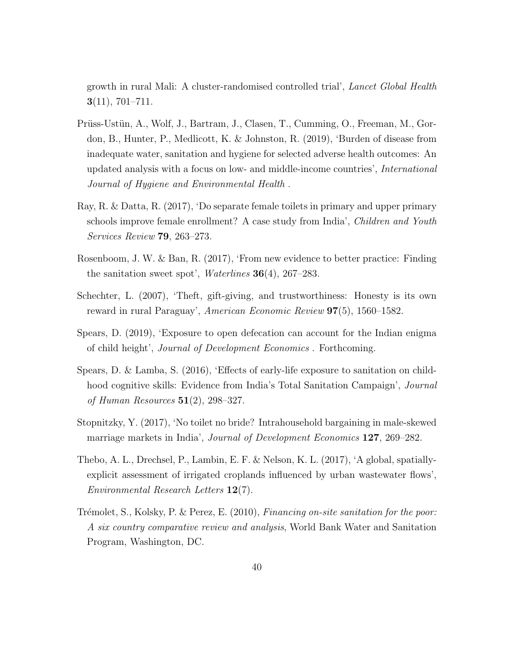growth in rural Mali: A cluster-randomised controlled trial', Lancet Global Health  $3(11), 701-711.$ 

- Prüss-Ustün, A., Wolf, J., Bartram, J., Clasen, T., Cumming, O., Freeman, M., Gordon, B., Hunter, P., Medlicott, K. & Johnston, R. (2019), 'Burden of disease from inadequate water, sanitation and hygiene for selected adverse health outcomes: An updated analysis with a focus on low- and middle-income countries', International Journal of Hygiene and Environmental Health .
- Ray, R. & Datta, R. (2017), 'Do separate female toilets in primary and upper primary schools improve female enrollment? A case study from India', *Children and Youth* Services Review 79, 263–273.
- Rosenboom, J. W. & Ban, R. (2017), 'From new evidence to better practice: Finding the sanitation sweet spot', *Waterlines* **36**(4), 267–283.
- Schechter, L. (2007), 'Theft, gift-giving, and trustworthiness: Honesty is its own reward in rural Paraguay', American Economic Review 97(5), 1560–1582.
- Spears, D. (2019), 'Exposure to open defecation can account for the Indian enigma of child height', Journal of Development Economics . Forthcoming.
- Spears, D. & Lamba, S. (2016), 'Effects of early-life exposure to sanitation on childhood cognitive skills: Evidence from India's Total Sanitation Campaign', *Journal* of Human Resources  $51(2)$ , 298-327.
- Stopnitzky, Y. (2017), 'No toilet no bride? Intrahousehold bargaining in male-skewed marriage markets in India', *Journal of Development Economics* 127, 269–282.
- Thebo, A. L., Drechsel, P., Lambin, E. F. & Nelson, K. L. (2017), 'A global, spatiallyexplicit assessment of irrigated croplands influenced by urban wastewater flows', Environmental Research Letters 12(7).
- Trémolet, S., Kolsky, P. & Perez, E. (2010), Financing on-site sanitation for the poor: A six country comparative review and analysis, World Bank Water and Sanitation Program, Washington, DC.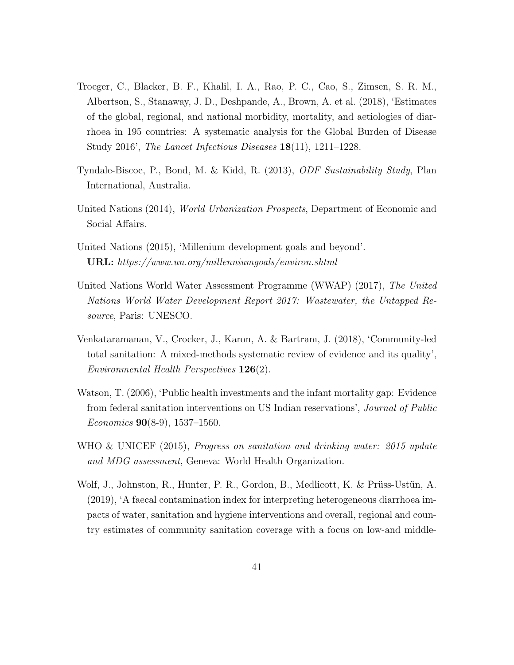- Troeger, C., Blacker, B. F., Khalil, I. A., Rao, P. C., Cao, S., Zimsen, S. R. M., Albertson, S., Stanaway, J. D., Deshpande, A., Brown, A. et al. (2018), 'Estimates of the global, regional, and national morbidity, mortality, and aetiologies of diarrhoea in 195 countries: A systematic analysis for the Global Burden of Disease Study 2016', The Lancet Infectious Diseases 18(11), 1211–1228.
- Tyndale-Biscoe, P., Bond, M. & Kidd, R. (2013), ODF Sustainability Study, Plan International, Australia.
- United Nations (2014), World Urbanization Prospects, Department of Economic and Social Affairs.
- United Nations (2015), 'Millenium development goals and beyond'. URL: https://www.un.org/millenniumgoals/environ.shtml
- United Nations World Water Assessment Programme (WWAP) (2017), The United Nations World Water Development Report 2017: Wastewater, the Untapped Resource, Paris: UNESCO.
- Venkataramanan, V., Crocker, J., Karon, A. & Bartram, J. (2018), 'Community-led total sanitation: A mixed-methods systematic review of evidence and its quality', Environmental Health Perspectives  $126(2)$ .
- Watson, T. (2006), 'Public health investments and the infant mortality gap: Evidence from federal sanitation interventions on US Indian reservations', Journal of Public  $Economics$  90(8-9), 1537–1560.
- WHO & UNICEF (2015), *Progress on sanitation and drinking water: 2015 update* and MDG assessment, Geneva: World Health Organization.
- Wolf, J., Johnston, R., Hunter, P. R., Gordon, B., Medlicott, K. & Prüss-Ustün, A. (2019), 'A faecal contamination index for interpreting heterogeneous diarrhoea impacts of water, sanitation and hygiene interventions and overall, regional and country estimates of community sanitation coverage with a focus on low-and middle-